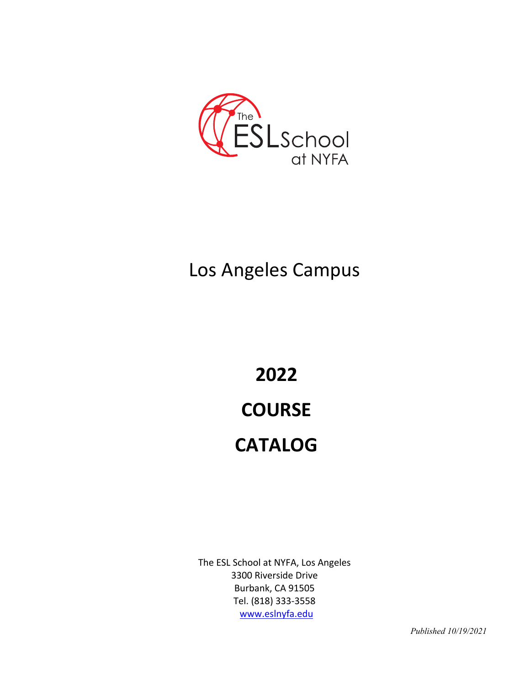

## Los Angeles Campus

# **2022 COURSE CATALOG**

The ESL School at NYFA, Los Angeles 3300 Riverside Drive Burbank, CA 91505 Tel. (818) 333-3558 www.eslnyfa.edu

*Published 10/19/2021*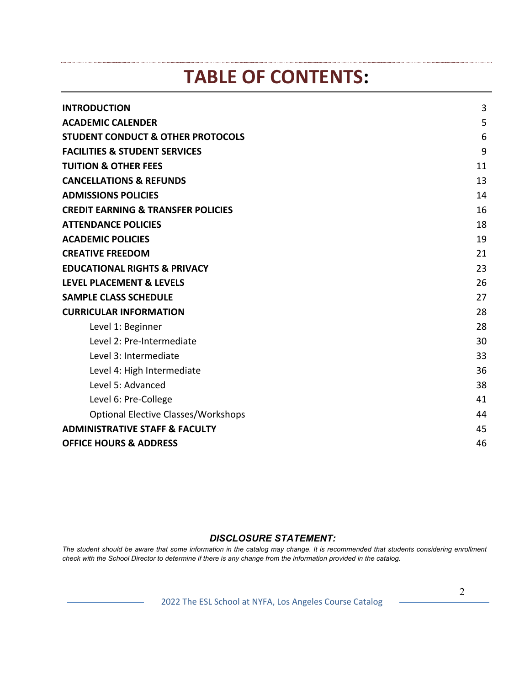## **TABLE OF CONTENTS:**

| <b>INTRODUCTION</b>                           | 3  |
|-----------------------------------------------|----|
| <b>ACADEMIC CALENDER</b>                      | 5  |
| <b>STUDENT CONDUCT &amp; OTHER PROTOCOLS</b>  | 6  |
| <b>FACILITIES &amp; STUDENT SERVICES</b>      | 9  |
| <b>TUITION &amp; OTHER FEES</b>               | 11 |
| <b>CANCELLATIONS &amp; REFUNDS</b>            | 13 |
| <b>ADMISSIONS POLICIES</b>                    | 14 |
| <b>CREDIT EARNING &amp; TRANSFER POLICIES</b> | 16 |
| <b>ATTENDANCE POLICIES</b>                    | 18 |
| <b>ACADEMIC POLICIES</b>                      | 19 |
| <b>CREATIVE FREEDOM</b>                       | 21 |
| <b>EDUCATIONAL RIGHTS &amp; PRIVACY</b>       | 23 |
| <b>LEVEL PLACEMENT &amp; LEVELS</b>           | 26 |
| <b>SAMPLE CLASS SCHEDULE</b>                  | 27 |
| <b>CURRICULAR INFORMATION</b>                 | 28 |
| Level 1: Beginner                             | 28 |
| Level 2: Pre-Intermediate                     | 30 |
| Level 3: Intermediate                         | 33 |
| Level 4: High Intermediate                    | 36 |
| Level 5: Advanced                             | 38 |
| Level 6: Pre-College                          | 41 |
| <b>Optional Elective Classes/Workshops</b>    | 44 |
| <b>ADMINISTRATIVE STAFF &amp; FACULTY</b>     | 45 |
| <b>OFFICE HOURS &amp; ADDRESS</b>             | 46 |

### *DISCLOSURE STATEMENT:*

*The student should be aware that some information in the catalog may change. It is recommended that students considering enrollment check with the School Director to determine if there is any change from the information provided in the catalog.* 

2022 The ESL School at NYFA, Los Angeles Course Catalog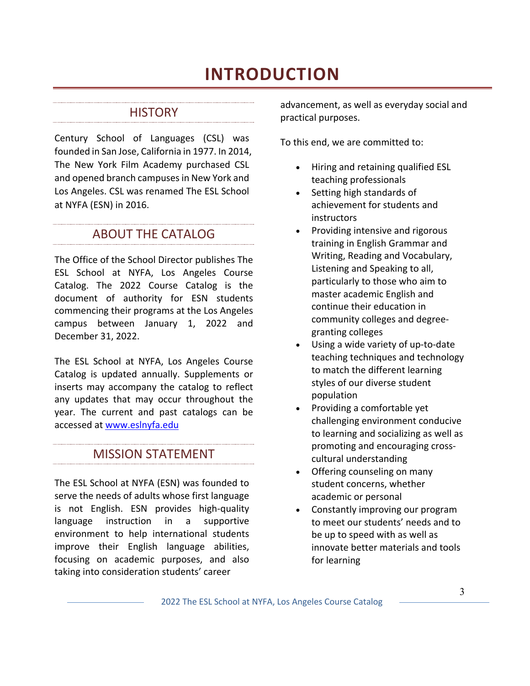## **INTRODUCTION**

#### **HISTORY**

Century School of Languages (CSL) was founded in San Jose, California in 1977. In 2014, The New York Film Academy purchased CSL and opened branch campuses in New York and Los Angeles. CSL was renamed The ESL School at NYFA (ESN) in 2016.

ABOUT THE CATALOG

The Office of the School Director publishes The ESL School at NYFA, Los Angeles Course Catalog. The 2022 Course Catalog is the document of authority for ESN students commencing their programs at the Los Angeles campus between January 1, 2022 and December 31, 2022.

The ESL School at NYFA, Los Angeles Course Catalog is updated annually. Supplements or inserts may accompany the catalog to reflect any updates that may occur throughout the year. The current and past catalogs can be accessed at www.eslnyfa.edu

## MISSION STATEMENT

The ESL School at NYFA (ESN) was founded to serve the needs of adults whose first language is not English. ESN provides high-quality language instruction in a supportive environment to help international students improve their English language abilities, focusing on academic purposes, and also taking into consideration students' career

advancement, as well as everyday social and practical purposes.

To this end, we are committed to:

- Hiring and retaining qualified ESL teaching professionals
- Setting high standards of achievement for students and **instructors**
- Providing intensive and rigorous training in English Grammar and Writing, Reading and Vocabulary, Listening and Speaking to all, particularly to those who aim to master academic English and continue their education in community colleges and degreegranting colleges
- Using a wide variety of up-to-date teaching techniques and technology to match the different learning styles of our diverse student population
- Providing a comfortable yet challenging environment conducive to learning and socializing as well as promoting and encouraging crosscultural understanding
- Offering counseling on many student concerns, whether academic or personal
- Constantly improving our program to meet our students' needs and to be up to speed with as well as innovate better materials and tools for learning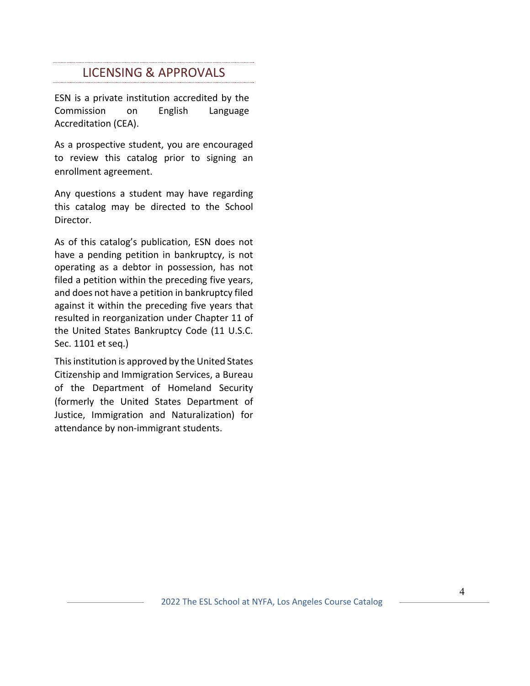### LICENSING & APPROVALS

ESN is a private institution accredited by the Commission on English Language Accreditation (CEA).

As a prospective student, you are encouraged to review this catalog prior to signing an enrollment agreement.

Any questions a student may have regarding this catalog may be directed to the School Director.

As of this catalog's publication, ESN does not have a pending petition in bankruptcy, is not operating as a debtor in possession, has not filed a petition within the preceding five years, and does not have a petition in bankruptcy filed against it within the preceding five years that resulted in reorganization under Chapter 11 of the United States Bankruptcy Code (11 U.S.C. Sec. 1101 et seq.)

This institution is approved by the United States Citizenship and Immigration Services, a Bureau of the Department of Homeland Security (formerly the United States Department of Justice, Immigration and Naturalization) for attendance by non-immigrant students.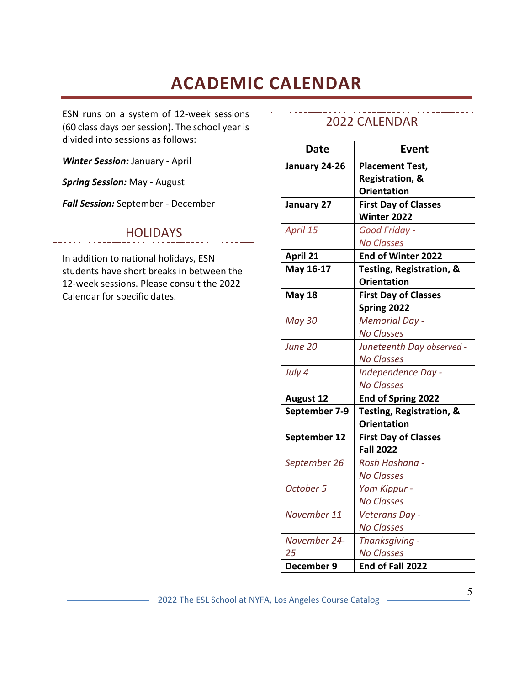## **ACADEMIC CALENDAR**

ESN runs on a system of 12-week sessions (60 class days per session). The school year is divided into sessions as follows:

*Winter Session:* January - April

*Spring Session:* May - August

*Fall Session:* September - December

### **HOLIDAYS**

In addition to national holidays, ESN students have short breaks in between the 12-week sessions. Please consult the 2022 Calendar for specific dates.

### 2022 CALENDAR

| <b>Date</b>      | Event                               |
|------------------|-------------------------------------|
| January 24-26    | <b>Placement Test,</b>              |
|                  | <b>Registration, &amp;</b>          |
|                  | <b>Orientation</b>                  |
| January 27       | <b>First Day of Classes</b>         |
|                  | Winter 2022                         |
| April 15         | Good Friday -                       |
|                  | <b>No Classes</b>                   |
| April 21         | End of Winter 2022                  |
| May 16-17        | <b>Testing, Registration, &amp;</b> |
|                  | <b>Orientation</b>                  |
| <b>May 18</b>    | <b>First Day of Classes</b>         |
|                  | Spring 2022                         |
| <b>May 30</b>    | <b>Memorial Day -</b>               |
|                  | <b>No Classes</b>                   |
| June 20          | Juneteenth Day observed -           |
|                  | <b>No Classes</b>                   |
| July 4           | Independence Day -                  |
|                  | <b>No Classes</b>                   |
| <b>August 12</b> | End of Spring 2022                  |
| September 7-9    | Testing, Registration, &            |
|                  | <b>Orientation</b>                  |
| September 12     | <b>First Day of Classes</b>         |
|                  | <b>Fall 2022</b>                    |
| September 26     | Rosh Hashana -                      |
|                  | <b>No Classes</b>                   |
| October 5        | Yom Kippur -                        |
|                  | <b>No Classes</b>                   |
| November 11      | Veterans Day -                      |
|                  | <b>No Classes</b>                   |
| November 24-     | Thanksgiving -                      |
| 25               | <b>No Classes</b>                   |
| December 9       | End of Fall 2022                    |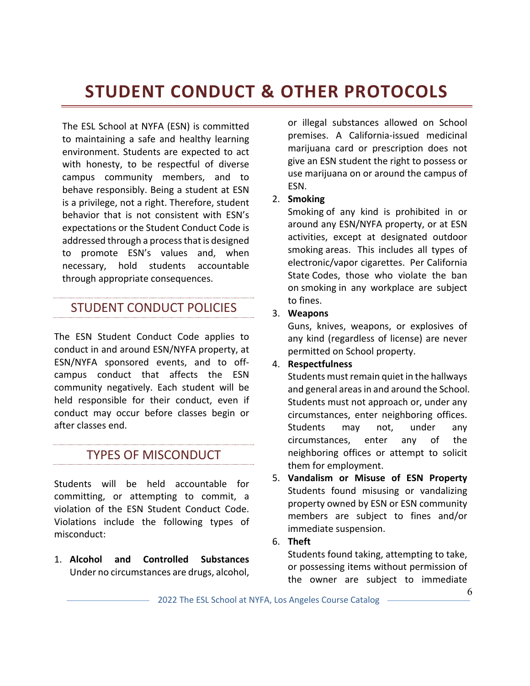## **STUDENT CONDUCT & OTHER PROTOCOLS**

The ESL School at NYFA (ESN) is committed to maintaining a safe and healthy learning environment. Students are expected to act with honesty, to be respectful of diverse campus community members, and to behave responsibly. Being a student at ESN is a privilege, not a right. Therefore, student behavior that is not consistent with ESN's expectations or the Student Conduct Code is addressed through a process that is designed to promote ESN's values and, when necessary, hold students accountable through appropriate consequences.

## STUDENT CONDUCT POLICIES

The ESN Student Conduct Code applies to conduct in and around ESN/NYFA property, at ESN/NYFA sponsored events, and to offcampus conduct that affects the ESN community negatively. Each student will be held responsible for their conduct, even if conduct may occur before classes begin or after classes end.

## TYPES OF MISCONDUCT

Students will be held accountable for committing, or attempting to commit, a violation of the ESN Student Conduct Code. Violations include the following types of misconduct:

1. **Alcohol and Controlled Substances** Under no circumstances are drugs, alcohol, or illegal substances allowed on School premises. A California-issued medicinal marijuana card or prescription does not give an ESN student the right to possess or use marijuana on or around the campus of ESN.

### 2. **Smoking**

Smoking of any kind is prohibited in or around any ESN/NYFA property, or at ESN activities, except at designated outdoor smoking areas. This includes all types of electronic/vapor cigarettes. Per California State Codes, those who violate the ban on smoking in any workplace are subject to fines.

### 3. **Weapons**

Guns, knives, weapons, or explosives of any kind (regardless of license) are never permitted on School property.

### 4. **Respectfulness**

Students must remain quiet in the hallways and general areas in and around the School. Students must not approach or, under any circumstances, enter neighboring offices. Students may not, under any circumstances, enter any of the neighboring offices or attempt to solicit them for employment.

5. **Vandalism or Misuse of ESN Property**  Students found misusing or vandalizing property owned by ESN or ESN community members are subject to fines and/or immediate suspension.

### 6. **Theft**

Students found taking, attempting to take, or possessing items without permission of the owner are subject to immediate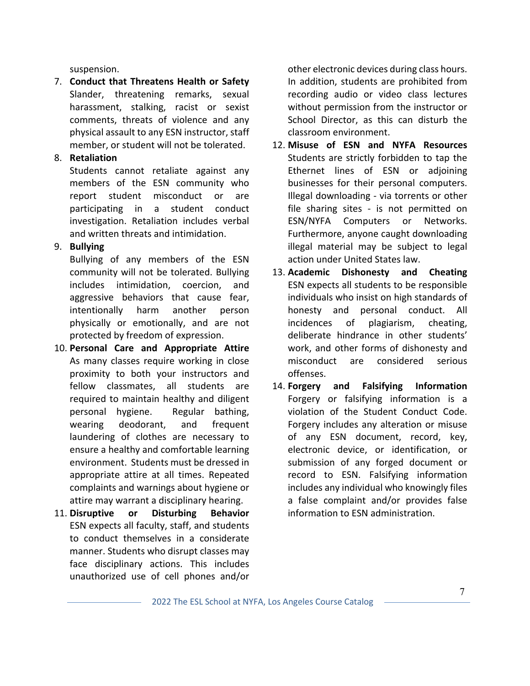suspension.

7. **Conduct that Threatens Health or Safety** Slander, threatening remarks, sexual harassment, stalking, racist or sexist comments, threats of violence and any physical assault to any ESN instructor, staff member, or student will not be tolerated.

### 8. **Retaliation**

Students cannot retaliate against any members of the ESN community who report student misconduct or are participating in a student conduct investigation. Retaliation includes verbal and written threats and intimidation.

### 9. **Bullying**

Bullying of any members of the ESN community will not be tolerated. Bullying includes intimidation, coercion, and aggressive behaviors that cause fear, intentionally harm another person physically or emotionally, and are not protected by freedom of expression.

- 10. **Personal Care and Appropriate Attire** As many classes require working in close proximity to both your instructors and fellow classmates, all students are required to maintain healthy and diligent personal hygiene. Regular bathing, wearing deodorant, and frequent laundering of clothes are necessary to ensure a healthy and comfortable learning environment. Students must be dressed in appropriate attire at all times. Repeated complaints and warnings about hygiene or attire may warrant a disciplinary hearing.
- 11. **Disruptive or Disturbing Behavior** ESN expects all faculty, staff, and students to conduct themselves in a considerate manner. Students who disrupt classes may face disciplinary actions. This includes unauthorized use of cell phones and/or

other electronic devices during class hours. In addition, students are prohibited from recording audio or video class lectures without permission from the instructor or School Director, as this can disturb the classroom environment.

- 12. **Misuse of ESN and NYFA Resources**  Students are strictly forbidden to tap the Ethernet lines of ESN or adjoining businesses for their personal computers. Illegal downloading - via torrents or other file sharing sites - is not permitted on ESN/NYFA Computers or Networks. Furthermore, anyone caught downloading illegal material may be subject to legal action under United States law.
- 13. **Academic Dishonesty and Cheating**  ESN expects all students to be responsible individuals who insist on high standards of honesty and personal conduct. All incidences of plagiarism, cheating, deliberate hindrance in other students' work, and other forms of dishonesty and misconduct are considered serious offenses.
- 14. **Forgery and Falsifying Information** Forgery or falsifying information is a violation of the Student Conduct Code. Forgery includes any alteration or misuse of any ESN document, record, key, electronic device, or identification, or submission of any forged document or record to ESN. Falsifying information includes any individual who knowingly files a false complaint and/or provides false information to ESN administration.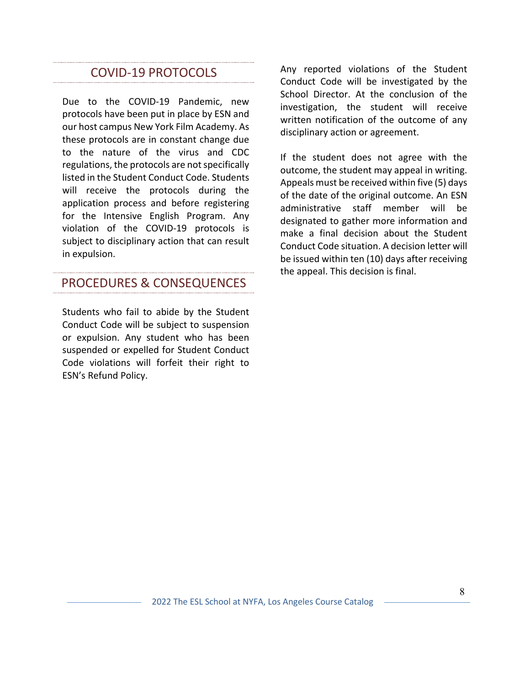## COVID-19 PROTOCOLS

Due to the COVID-19 Pandemic, new protocols have been put in place by ESN and our host campus New York Film Academy. As these protocols are in constant change due to the nature of the virus and CDC regulations, the protocols are not specifically listed in the Student Conduct Code. Students will receive the protocols during the application process and before registering for the Intensive English Program. Any violation of the COVID-19 protocols is subject to disciplinary action that can result in expulsion.

## PROCEDURES & CONSEQUENCES

Students who fail to abide by the Student Conduct Code will be subject to suspension or expulsion. Any student who has been suspended or expelled for Student Conduct Code violations will forfeit their right to ESN's Refund Policy.

Any reported violations of the Student Conduct Code will be investigated by the School Director. At the conclusion of the investigation, the student will receive written notification of the outcome of any disciplinary action or agreement.

If the student does not agree with the outcome, the student may appeal in writing. Appeals must be received within five (5) days of the date of the original outcome. An ESN administrative staff member will be designated to gather more information and make a final decision about the Student Conduct Code situation. A decision letter will be issued within ten (10) days after receiving the appeal. This decision is final.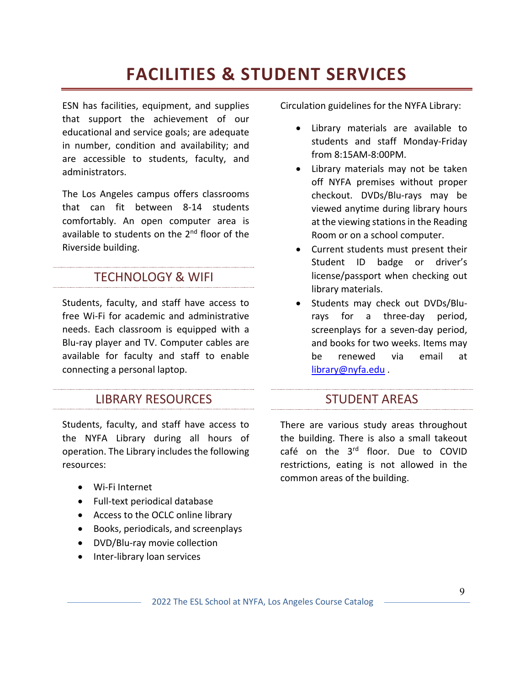## **FACILITIES & STUDENT SERVICES**

ESN has facilities, equipment, and supplies that support the achievement of our educational and service goals; are adequate in number, condition and availability; and are accessible to students, faculty, and administrators.

The Los Angeles campus offers classrooms that can fit between 8-14 students comfortably. An open computer area is available to students on the 2<sup>nd</sup> floor of the Riverside building.

### TECHNOLOGY & WIFI

Students, faculty, and staff have access to free Wi-Fi for academic and administrative needs. Each classroom is equipped with a Blu-ray player and TV. Computer cables are available for faculty and staff to enable connecting a personal laptop.

### **LIBRARY RESOURCES**

Students, faculty, and staff have access to the NYFA Library during all hours of operation. The Library includes the following resources:

- Wi-Fi Internet
- Full-text periodical database
- Access to the OCLC online library
- Books, periodicals, and screenplays
- DVD/Blu-ray movie collection
- Inter-library loan services

Circulation guidelines for the NYFA Library:

- Library materials are available to students and staff Monday-Friday from 8:15AM-8:00PM.
- Library materials may not be taken off NYFA premises without proper checkout. DVDs/Blu-rays may be viewed anytime during library hours at the viewing stations in the Reading Room or on a school computer.
- Current students must present their Student ID badge or driver's license/passport when checking out library materials.
- Students may check out DVDs/Blurays for a three-day period, screenplays for a seven-day period, and books for two weeks. Items may be renewed via email at library@nyfa.edu .

### **STUDENT AREAS**

There are various study areas throughout the building. There is also a small takeout café on the 3<sup>rd</sup> floor. Due to COVID restrictions, eating is not allowed in the common areas of the building.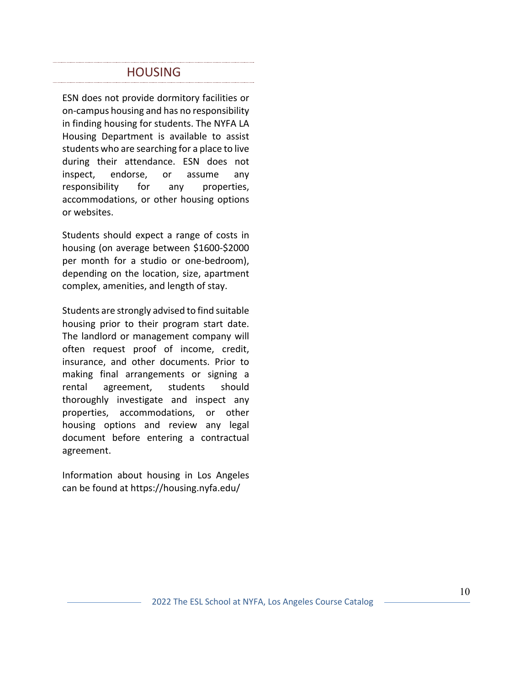### HOUSING

ESN does not provide dormitory facilities or on-campus housing and has no responsibility in finding housing for students. The NYFA LA Housing Department is available to assist students who are searching for a place to live during their attendance. ESN does not inspect, endorse, or assume any responsibility for any properties, accommodations, or other housing options or websites.

Students should expect a range of costs in housing (on average between \$1600-\$2000 per month for a studio or one-bedroom), depending on the location, size, apartment complex, amenities, and length of stay.

Students are strongly advised to find suitable housing prior to their program start date. The landlord or management company will often request proof of income, credit, insurance, and other documents. Prior to making final arrangements or signing a rental agreement, students should thoroughly investigate and inspect any properties, accommodations, or other housing options and review any legal document before entering a contractual agreement.

Information about housing in Los Angeles can be found at https://housing.nyfa.edu/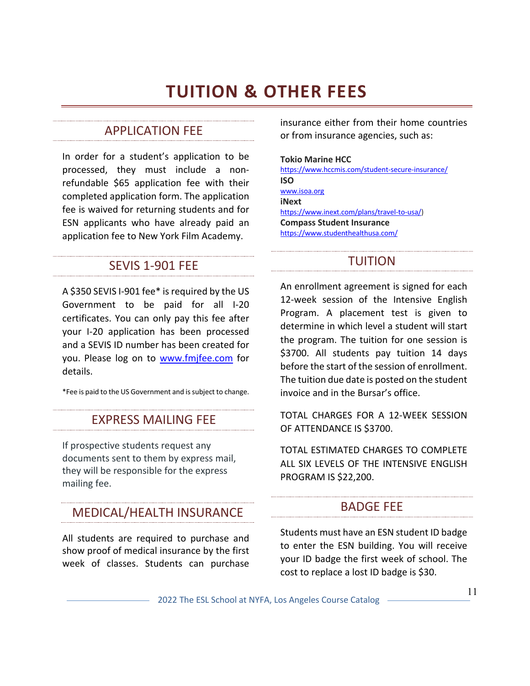## **TUITION & OTHER FEES**

#### APPLICATION FEE

In order for a student's application to be processed, they must include a nonrefundable \$65 application fee with their completed application form. The application fee is waived for returning students and for ESN applicants who have already paid an application fee to New York Film Academy.

#### SEVIS 1-901 FEE

A \$350 SEVIS I-901 fee\* is required by the US Government to be paid for all I-20 certificates. You can only pay this fee after your I-20 application has been processed and a SEVIS ID number has been created for you. Please log on to www.fmjfee.com for details.

\*Fee is paid to the US Government and is subject to change.

## EXPRESS MAILING FEE

If prospective students request any documents sent to them by express mail, they will be responsible for the express mailing fee.

## MEDICAL/HEALTH INSURANCE

All students are required to purchase and show proof of medical insurance by the first week of classes. Students can purchase

insurance either from their home countries or from insurance agencies, such as:

#### **Tokio Marine HCC**

https://www.hccmis.com/student-secure-insurance/ **ISO** www.isoa.org **iNext** https://www.inext.com/plans/travel-to-usa/) **Compass Student Insurance** https://www.studenthealthusa.com/

### TUITION

An enrollment agreement is signed for each 12-week session of the Intensive English Program. A placement test is given to determine in which level a student will start the program. The tuition for one session is \$3700. All students pay tuition 14 days before the start of the session of enrollment. The tuition due date is posted on the student invoice and in the Bursar's office.

TOTAL CHARGES FOR A 12-WEEK SESSION OF ATTENDANCE IS \$3700.

TOTAL ESTIMATED CHARGES TO COMPLETE ALL SIX LEVELS OF THE INTENSIVE ENGLISH PROGRAM IS \$22,200.

#### BADGE FEE

Students must have an ESN student ID badge to enter the ESN building. You will receive your ID badge the first week of school. The cost to replace a lost ID badge is \$30.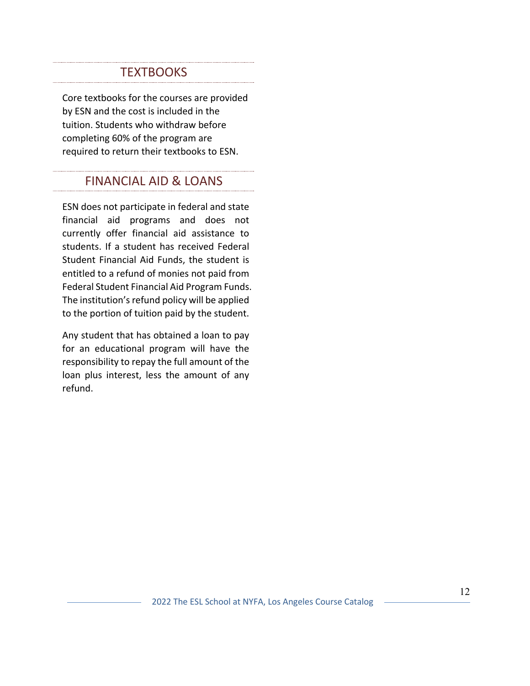### **TEXTBOOKS**

Core textbooks for the courses are provided by ESN and the cost is included in the tuition. Students who withdraw before completing 60% of the program are required to return their textbooks to ESN.

## FINANCIAL AID & LOANS

ESN does not participate in federal and state financial aid programs and does not currently offer financial aid assistance to students. If a student has received Federal Student Financial Aid Funds, the student is entitled to a refund of monies not paid from Federal Student Financial Aid Program Funds. The institution's refund policy will be applied to the portion of tuition paid by the student.

Any student that has obtained a loan to pay for an educational program will have the responsibility to repay the full amount of the loan plus interest, less the amount of any refund.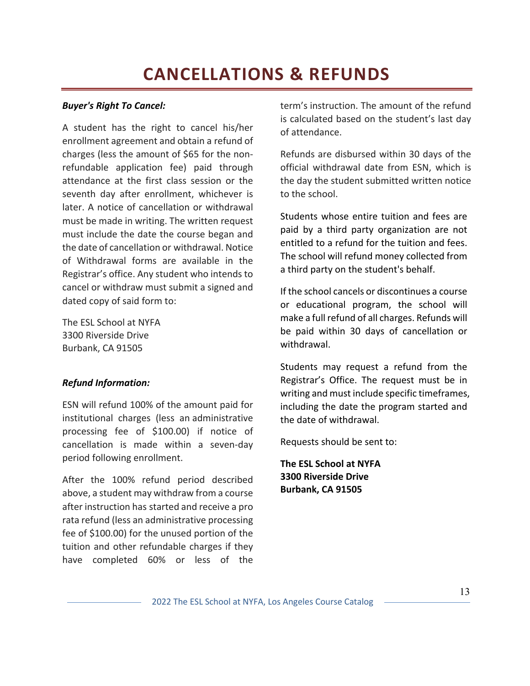## **CANCELLATIONS & REFUNDS**

#### *Buyer's Right To Cancel:*

A student has the right to cancel his/her enrollment agreement and obtain a refund of charges (less the amount of \$65 for the nonrefundable application fee) paid through attendance at the first class session or the seventh day after enrollment, whichever is later. A notice of cancellation or withdrawal must be made in writing. The written request must include the date the course began and the date of cancellation or withdrawal. Notice of Withdrawal forms are available in the Registrar's office. Any student who intends to cancel or withdraw must submit a signed and dated copy of said form to:

The ESL School at NYFA 3300 Riverside Drive Burbank, CA 91505

#### *Refund Information:*

ESN will refund 100% of the amount paid for institutional charges (less an administrative processing fee of \$100.00) if notice of cancellation is made within a seven-day period following enrollment.

After the 100% refund period described above, a student may withdraw from a course after instruction has started and receive a pro rata refund (less an administrative processing fee of \$100.00) for the unused portion of the tuition and other refundable charges if they have completed 60% or less of the

term's instruction. The amount of the refund is calculated based on the student's last day of attendance.

Refunds are disbursed within 30 days of the official withdrawal date from ESN, which is the day the student submitted written notice to the school.

Students whose entire tuition and fees are paid by a third party organization are not entitled to a refund for the tuition and fees. The school will refund money collected from a third party on the student's behalf.

If the school cancels or discontinues a course or educational program, the school will make a full refund of all charges. Refunds will be paid within 30 days of cancellation or withdrawal.

Students may request a refund from the Registrar's Office. The request must be in writing and must include specific timeframes, including the date the program started and the date of withdrawal.

Requests should be sent to:

**The ESL School at NYFA 3300 Riverside Drive Burbank, CA 91505**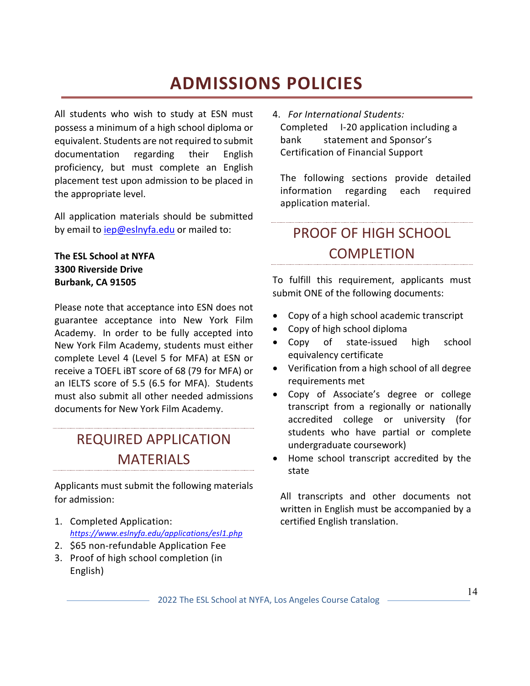## **ADMISSIONS POLICIES**

All students who wish to study at ESN must possess a minimum of a high school diploma or equivalent. Students are not required to submit documentation regarding their English proficiency, but must complete an English placement test upon admission to be placed in the appropriate level.

All application materials should be submitted by email to iep@eslnyfa.edu or mailed to:

### **The ESL School at NYFA 3300 Riverside Drive Burbank, CA 91505**

Please note that acceptance into ESN does not guarantee acceptance into New York Film Academy. In order to be fully accepted into New York Film Academy, students must either complete Level 4 (Level 5 for MFA) at ESN or receive a TOEFL iBT score of 68 (79 for MFA) or an IELTS score of 5.5 (6.5 for MFA). Students must also submit all other needed admissions documents for New York Film Academy.

## REQUIRED APPLICATION MATERIALS

Applicants must submit the following materials for admission:

- 1. Completed Application: *https://www.eslnyfa.edu/applications/esl1.php*
- 2. \$65 non-refundable Application Fee
- 3. Proof of high school completion (in English)

4. *For International Students:* Completed I-20 application including a bank statement and Sponsor's Certification of Financial Support

The following sections provide detailed information regarding each required application material.

## PROOF OF HIGH SCHOOL COMPLETION

To fulfill this requirement, applicants must submit ONE of the following documents:

- Copy of a high school academic transcript
- Copy of high school diploma
- Copy of state-issued high school equivalency certificate
- Verification from a high school of all degree requirements met
- Copy of Associate's degree or college transcript from a regionally or nationally accredited college or university (for students who have partial or complete undergraduate coursework)
- Home school transcript accredited by the state

All transcripts and other documents not written in English must be accompanied by a certified English translation.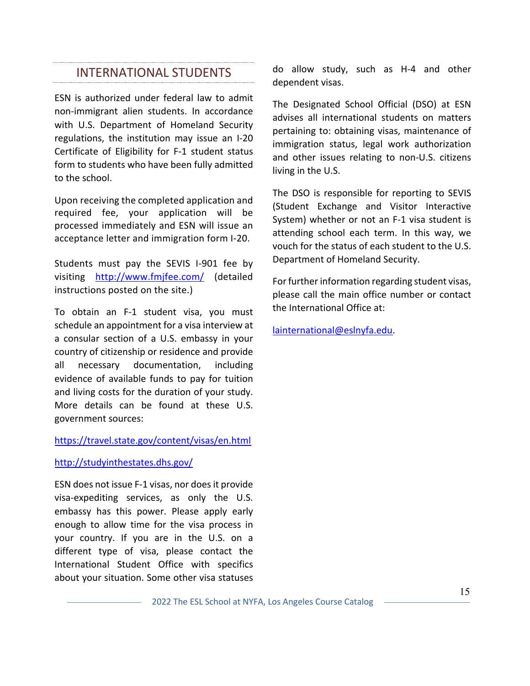## INTERNATIONAL STUDENTS

ESN is authorized under federal law to admit non-immigrant alien students. In accordance with U.S. Department of Homeland Security regulations, the institution may issue an I-20 Certificate of Eligibility for F-1 student status form to students who have been fully admitted to the school.

Upon receiving the completed application and required fee, your application will be processed immediately and ESN will issue an acceptance letter and immigration form I-20.

Students must pay the SEVIS I-901 fee by visiting http://www.fmjfee.com/ (detailed instructions posted on the site.)

To obtain an F-1 student visa, you must schedule an appointment for a visa interview at a consular section of a U.S. embassy in your country of citizenship or residence and provide all necessary documentation, including evidence of available funds to pay for tuition and living costs for the duration of your study. More details can be found at these U.S. government sources:

### https://travel.state.gov/content/visas/en.html

#### http://studyinthestates.dhs.gov/

ESN does not issue F-1 visas, nor does it provide visa-expediting services, as only the U.S. embassy has this power. Please apply early enough to allow time for the visa process in your country. If you are in the U.S. on a different type of visa, please contact the International Student Office with specifics about your situation. Some other visa statuses

do allow study, such as H-4 and other dependent visas.

The Designated School Official (DSO) at ESN advises all international students on matters pertaining to: obtaining visas, maintenance of immigration status, legal work authorization and other issues relating to non-U.S. citizens living in the U.S.

The DSO is responsible for reporting to SEVIS (Student Exchange and Visitor Interactive System) whether or not an F-1 visa student is attending school each term. In this way, we vouch for the status of each student to the U.S. Department of Homeland Security.

For further information regarding student visas, please call the main office number or contact the International Office at:

lainternational@eslnyfa.edu.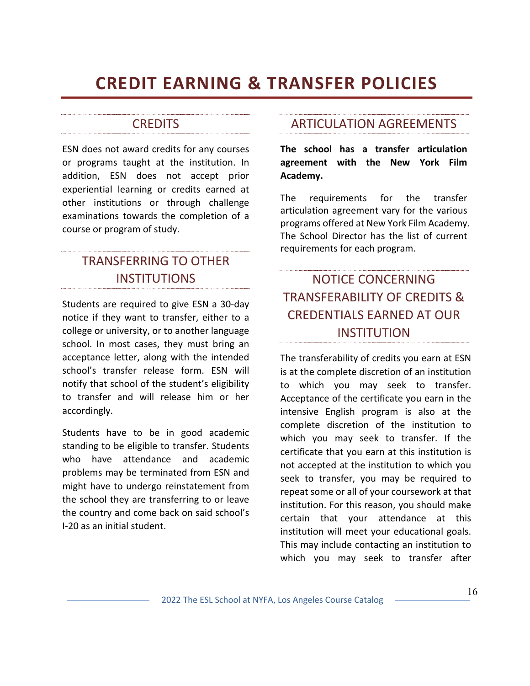## **CREDIT EARNING & TRANSFER POLICIES**

## **CREDITS**

ESN does not award credits for any courses or programs taught at the institution. In addition, ESN does not accept prior experiential learning or credits earned at other institutions or through challenge examinations towards the completion of a course or program of study.

## TRANSFERRING TO OTHER **INSTITUTIONS**

Students are required to give ESN a 30-day notice if they want to transfer, either to a college or university, or to another language school. In most cases, they must bring an acceptance letter, along with the intended school's transfer release form. ESN will notify that school of the student's eligibility to transfer and will release him or her accordingly.

Students have to be in good academic standing to be eligible to transfer. Students who have attendance and academic problems may be terminated from ESN and might have to undergo reinstatement from the school they are transferring to or leave the country and come back on said school's I-20 as an initial student.

## ARTICULATION AGREEMENTS

**The school has a transfer articulation agreement with the New York Film Academy.**

The requirements for the transfer articulation agreement vary for the various programs offered at New York Film Academy. The School Director has the list of current requirements for each program.

## NOTICE CONCERNING TRANSFERABILITY OF CREDITS & CREDENTIALS EARNED AT OUR **INSTITUTION**

The transferability of credits you earn at ESN is at the complete discretion of an institution to which you may seek to transfer. Acceptance of the certificate you earn in the intensive English program is also at the complete discretion of the institution to which you may seek to transfer. If the certificate that you earn at this institution is not accepted at the institution to which you seek to transfer, you may be required to repeat some or all of your coursework at that institution. For this reason, you should make certain that your attendance at this institution will meet your educational goals. This may include contacting an institution to which you may seek to transfer after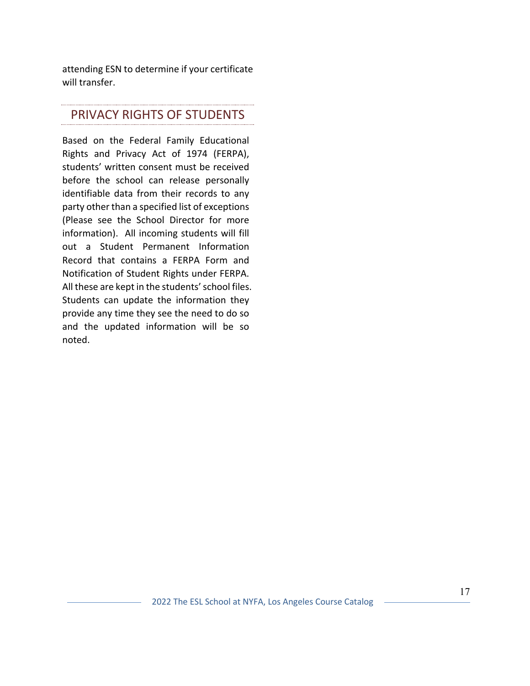attending ESN to determine if your certificate will transfer.

## PRIVACY RIGHTS OF STUDENTS

Based on the Federal Family Educational Rights and Privacy Act of 1974 (FERPA), students' written consent must be received before the school can release personally identifiable data from their records to any party other than a specified list of exceptions (Please see the School Director for more information). All incoming students will fill out a Student Permanent Information Record that contains a FERPA Form and Notification of Student Rights under FERPA. All these are kept in the students' school files. Students can update the information they provide any time they see the need to do so and the updated information will be so noted.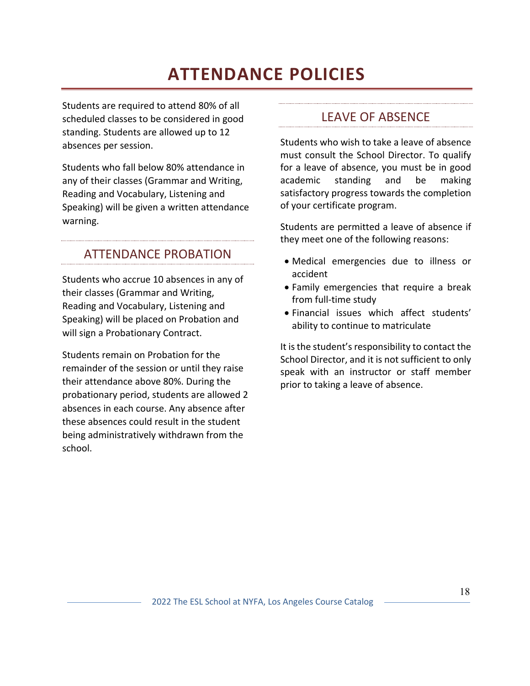## **ATTENDANCE POLICIES**

Students are required to attend 80% of all scheduled classes to be considered in good standing. Students are allowed up to 12 absences per session.

Students who fall below 80% attendance in any of their classes (Grammar and Writing, Reading and Vocabulary, Listening and Speaking) will be given a written attendance warning.

### ATTENDANCE PROBATION

Students who accrue 10 absences in any of their classes (Grammar and Writing, Reading and Vocabulary, Listening and Speaking) will be placed on Probation and will sign a Probationary Contract.

Students remain on Probation for the remainder of the session or until they raise their attendance above 80%. During the probationary period, students are allowed 2 absences in each course. Any absence after these absences could result in the student being administratively withdrawn from the school.

### LEAVE OF ABSENCE

Students who wish to take a leave of absence must consult the School Director. To qualify for a leave of absence, you must be in good academic standing and be making satisfactory progress towards the completion of your certificate program.

Students are permitted a leave of absence if they meet one of the following reasons:

- Medical emergencies due to illness or accident
- Family emergencies that require a break from full-time study
- Financial issues which affect students' ability to continue to matriculate

It is the student's responsibility to contact the School Director, and it is not sufficient to only speak with an instructor or staff member prior to taking a leave of absence.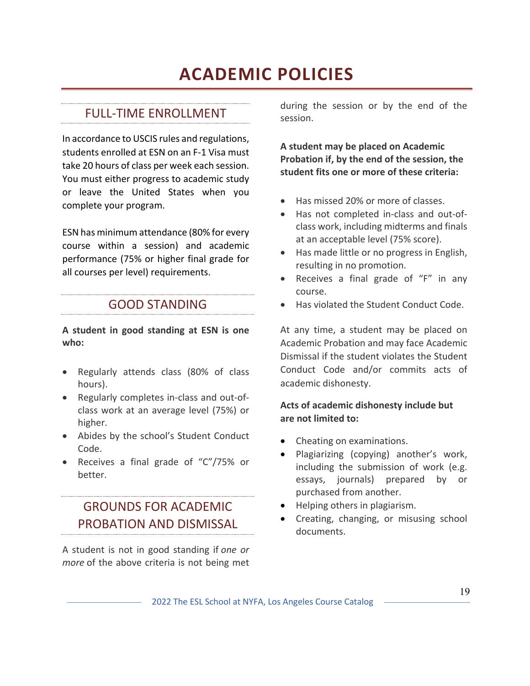## **ACADEMIC POLICIES**

#### FULL-TIME ENROLLMENT

In accordance to USCIS rules and regulations, students enrolled at ESN on an F-1 Visa must take 20 hours of class per week each session. You must either progress to academic study or leave the United States when you complete your program.

ESN has minimum attendance (80% for every course within a session) and academic performance (75% or higher final grade for all courses per level) requirements.

### GOOD STANDING

**A student in good standing at ESN is one who:**

- Regularly attends class (80% of class hours).
- Regularly completes in-class and out-ofclass work at an average level (75%) or higher.
- Abides by the school's Student Conduct Code.
- Receives a final grade of "C"/75% or better.

## GROUNDS FOR ACADEMIC PROBATION AND DISMISSAL

A student is not in good standing if *one or more* of the above criteria is not being met

during the session or by the end of the session.

**A student may be placed on Academic Probation if, by the end of the session, the student fits one or more of these criteria:**

- Has missed 20% or more of classes.
- Has not completed in-class and out-ofclass work, including midterms and finals at an acceptable level (75% score).
- Has made little or no progress in English, resulting in no promotion.
- Receives a final grade of "F" in any course.
- Has violated the Student Conduct Code.

At any time, a student may be placed on Academic Probation and may face Academic Dismissal if the student violates the Student Conduct Code and/or commits acts of academic dishonesty.

### **Acts of academic dishonesty include but are not limited to:**

- Cheating on examinations.
- Plagiarizing (copying) another's work, including the submission of work (e.g. essays, journals) prepared by or purchased from another.
- Helping others in plagiarism.
- Creating, changing, or misusing school documents.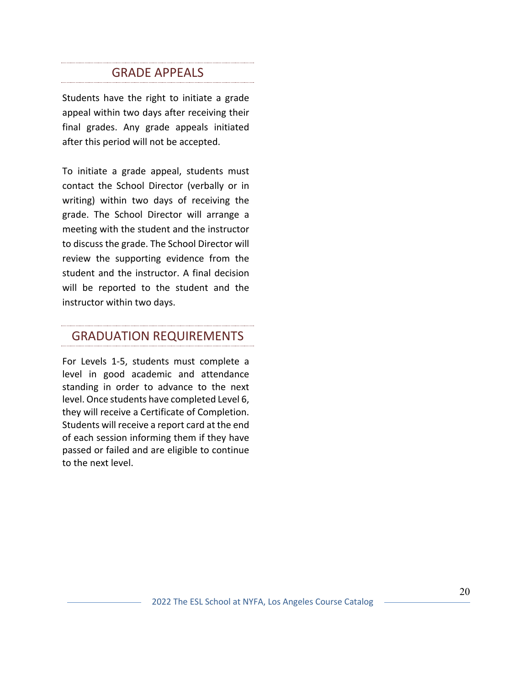## **GRADE APPEALS**

Students have the right to initiate a grade appeal within two days after receiving their final grades. Any grade appeals initiated after this period will not be accepted.

To initiate a grade appeal, students must contact the School Director (verbally or in writing) within two days of receiving the grade. The School Director will arrange a meeting with the student and the instructor to discuss the grade. The School Director will review the supporting evidence from the student and the instructor. A final decision will be reported to the student and the instructor within two days.

## GRADUATION REQUIREMENTS

For Levels 1-5, students must complete a level in good academic and attendance standing in order to advance to the next level. Once students have completed Level 6, they will receive a Certificate of Completion. Students will receive a report card at the end of each session informing them if they have passed or failed and are eligible to continue to the next level.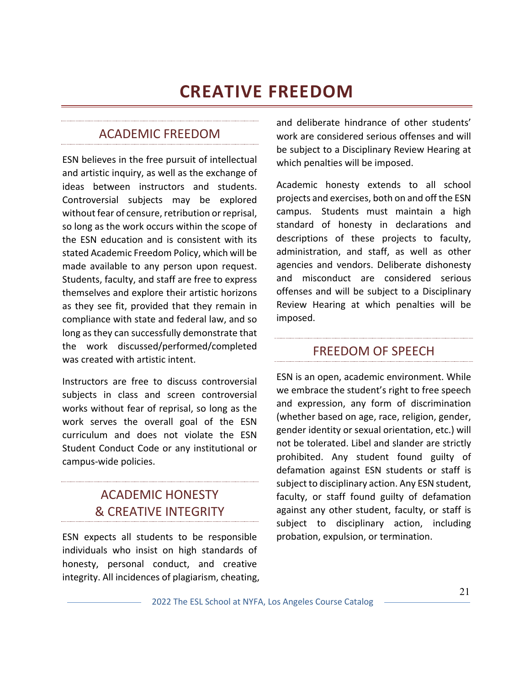## **CREATIVE FREEDOM**

### ACADEMIC FREEDOM

ESN believes in the free pursuit of intellectual and artistic inquiry, as well as the exchange of ideas between instructors and students. Controversial subjects may be explored without fear of censure, retribution or reprisal, so long as the work occurs within the scope of the ESN education and is consistent with its stated Academic Freedom Policy, which will be made available to any person upon request. Students, faculty, and staff are free to express themselves and explore their artistic horizons as they see fit, provided that they remain in compliance with state and federal law, and so long as they can successfully demonstrate that the work discussed/performed/completed was created with artistic intent.

Instructors are free to discuss controversial subjects in class and screen controversial works without fear of reprisal, so long as the work serves the overall goal of the ESN curriculum and does not violate the ESN Student Conduct Code or any institutional or campus-wide policies.

### ACADEMIC HONESTY & CREATIVE INTEGRITY

ESN expects all students to be responsible individuals who insist on high standards of honesty, personal conduct, and creative integrity. All incidences of plagiarism, cheating, and deliberate hindrance of other students' work are considered serious offenses and will be subject to a Disciplinary Review Hearing at which penalties will be imposed.

Academic honesty extends to all school projects and exercises, both on and off the ESN campus. Students must maintain a high standard of honesty in declarations and descriptions of these projects to faculty, administration, and staff, as well as other agencies and vendors. Deliberate dishonesty and misconduct are considered serious offenses and will be subject to a Disciplinary Review Hearing at which penalties will be imposed.

### FREEDOM OF SPEECH

ESN is an open, academic environment. While we embrace the student's right to free speech and expression, any form of discrimination (whether based on age, race, religion, gender, gender identity or sexual orientation, etc.) will not be tolerated. Libel and slander are strictly prohibited. Any student found guilty of defamation against ESN students or staff is subject to disciplinary action. Any ESN student, faculty, or staff found guilty of defamation against any other student, faculty, or staff is subject to disciplinary action, including probation, expulsion, or termination.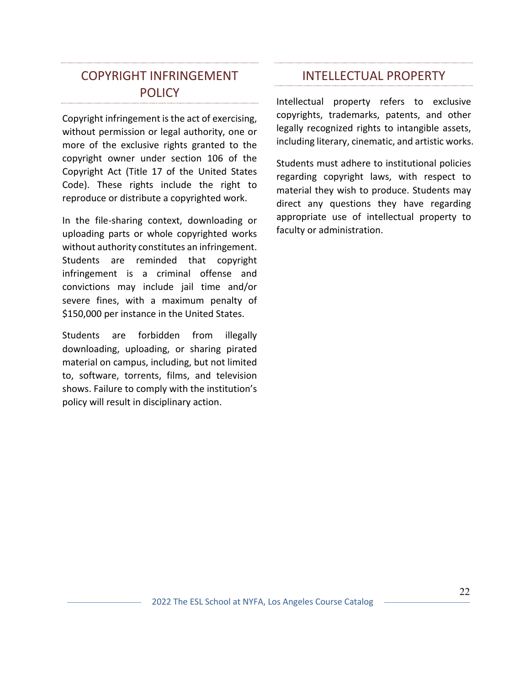### COPYRIGHT INFRINGEMENT POLICY

Copyright infringement is the act of exercising, without permission or legal authority, one or more of the exclusive rights granted to the copyright owner under section 106 of the Copyright Act (Title 17 of the United States Code). These rights include the right to reproduce or distribute a copyrighted work.

In the file-sharing context, downloading or uploading parts or whole copyrighted works without authority constitutes an infringement. Students are reminded that copyright infringement is a criminal offense and convictions may include jail time and/or severe fines, with a maximum penalty of \$150,000 per instance in the United States.

Students are forbidden from illegally downloading, uploading, or sharing pirated material on campus, including, but not limited to, software, torrents, films, and television shows. Failure to comply with the institution's policy will result in disciplinary action.

### INTELLECTUAL PROPERTY

Intellectual property refers to exclusive copyrights, trademarks, patents, and other legally recognized rights to intangible assets, including literary, cinematic, and artistic works.

Students must adhere to institutional policies regarding copyright laws, with respect to material they wish to produce. Students may direct any questions they have regarding appropriate use of intellectual property to faculty or administration.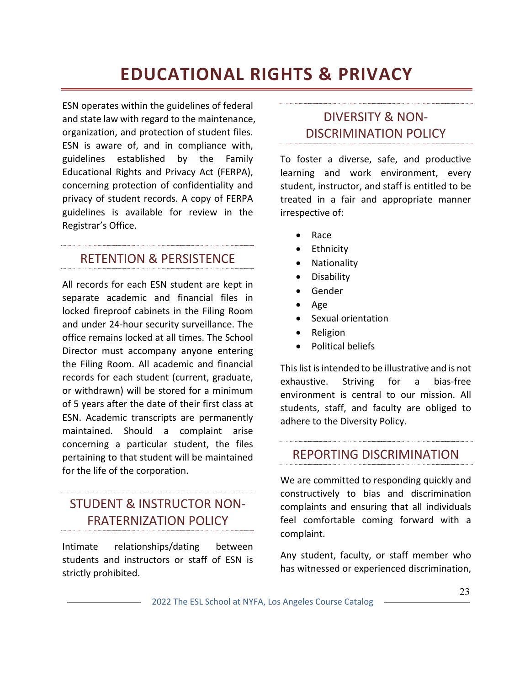## **EDUCATIONAL RIGHTS & PRIVACY**

ESN operates within the guidelines of federal and state law with regard to the maintenance, organization, and protection of student files. ESN is aware of, and in compliance with, guidelines established by the Family Educational Rights and Privacy Act (FERPA), concerning protection of confidentiality and privacy of student records. A copy of FERPA guidelines is available for review in the Registrar's Office.

### RETENTION & PERSISTENCE

All records for each ESN student are kept in separate academic and financial files in locked fireproof cabinets in the Filing Room and under 24-hour security surveillance. The office remains locked at all times. The School Director must accompany anyone entering the Filing Room. All academic and financial records for each student (current, graduate, or withdrawn) will be stored for a minimum of 5 years after the date of their first class at ESN. Academic transcripts are permanently maintained. Should a complaint arise concerning a particular student, the files pertaining to that student will be maintained for the life of the corporation.

### STUDENT & INSTRUCTOR NON-FRATERNIZATION POLICY

Intimate relationships/dating between students and instructors or staff of ESN is strictly prohibited.

## DIVERSITY & NON-DISCRIMINATION POLICY

To foster a diverse, safe, and productive learning and work environment, every student, instructor, and staff is entitled to be treated in a fair and appropriate manner irrespective of:

- Race
- Ethnicity
- Nationality
- Disability
- Gender
- Age
- Sexual orientation
- Religion
- Political beliefs

This list is intended to be illustrative and is not exhaustive. Striving for a bias-free environment is central to our mission. All students, staff, and faculty are obliged to adhere to the Diversity Policy.

### REPORTING DISCRIMINATION

We are committed to responding quickly and constructively to bias and discrimination complaints and ensuring that all individuals feel comfortable coming forward with a complaint.

Any student, faculty, or staff member who has witnessed or experienced discrimination,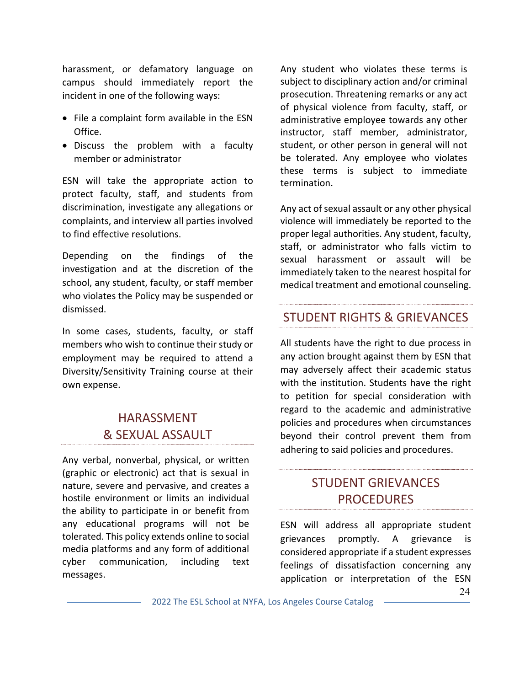harassment, or defamatory language on campus should immediately report the incident in one of the following ways:

- File a complaint form available in the ESN Office.
- Discuss the problem with a faculty member or administrator

ESN will take the appropriate action to protect faculty, staff, and students from discrimination, investigate any allegations or complaints, and interview all parties involved to find effective resolutions.

Depending on the findings of the investigation and at the discretion of the school, any student, faculty, or staff member who violates the Policy may be suspended or dismissed.

In some cases, students, faculty, or staff members who wish to continue their study or employment may be required to attend a Diversity/Sensitivity Training course at their own expense.

### HARASSMENT & SEXUAL ASSAULT

Any verbal, nonverbal, physical, or written (graphic or electronic) act that is sexual in nature, severe and pervasive, and creates a hostile environment or limits an individual the ability to participate in or benefit from any educational programs will not be tolerated. This policy extends online to social media platforms and any form of additional cyber communication, including text messages.

Any student who violates these terms is subject to disciplinary action and/or criminal prosecution. Threatening remarks or any act of physical violence from faculty, staff, or administrative employee towards any other instructor, staff member, administrator, student, or other person in general will not be tolerated. Any employee who violates these terms is subject to immediate termination.

Any act of sexual assault or any other physical violence will immediately be reported to the proper legal authorities. Any student, faculty, staff, or administrator who falls victim to sexual harassment or assault will be immediately taken to the nearest hospital for medical treatment and emotional counseling.

### STUDENT RIGHTS & GRIEVANCES

All students have the right to due process in any action brought against them by ESN that may adversely affect their academic status with the institution. Students have the right to petition for special consideration with regard to the academic and administrative policies and procedures when circumstances beyond their control prevent them from adhering to said policies and procedures.

### STUDENT GRIEVANCES PROCEDURES

ESN will address all appropriate student grievances promptly. A grievance is considered appropriate if a student expresses feelings of dissatisfaction concerning any application or interpretation of the ESN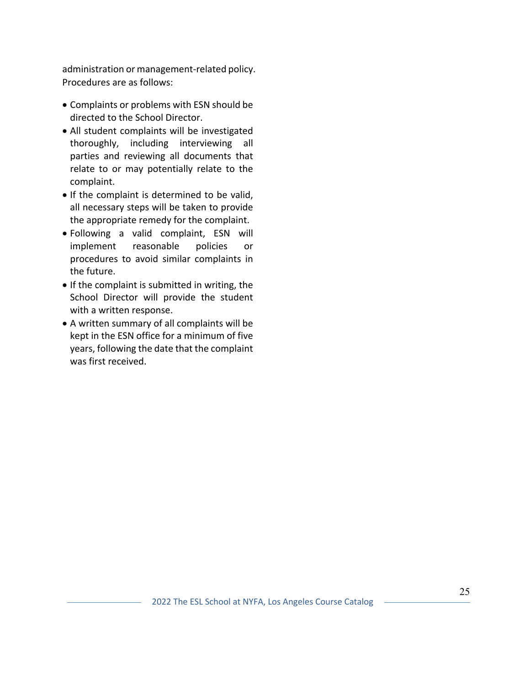administration or management-related policy. Procedures are as follows:

- Complaints or problems with ESN should be directed to the School Director.
- All student complaints will be investigated thoroughly, including interviewing all parties and reviewing all documents that relate to or may potentially relate to the complaint.
- If the complaint is determined to be valid, all necessary steps will be taken to provide the appropriate remedy for the complaint.
- Following a valid complaint, ESN will implement reasonable policies or procedures to avoid similar complaints in the future.
- If the complaint is submitted in writing, the School Director will provide the student with a written response.
- A written summary of all complaints will be kept in the ESN office for a minimum of five years, following the date that the complaint was first received.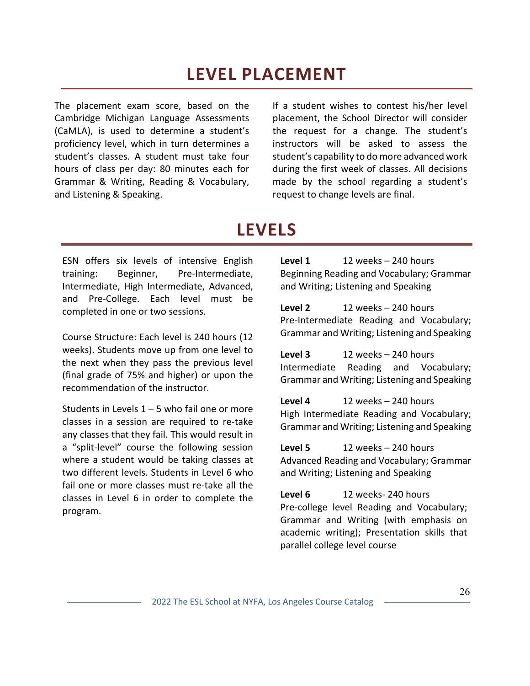## **LEVEL PLACEMENT**

The placement exam score, based on the Cambridge Michigan Language Assessments (CaMLA), is used to determine a student's proficiency level, which in turn determines a student's classes. A student must take four hours of class per day: 80 minutes each for Grammar & Writing, Reading & Vocabulary, and Listening & Speaking.

If a student wishes to contest his/her level placement, the School Director will consider the request for a change. The student's instructors will be asked to assess the student's capability to do more advanced work during the first week of classes. All decisions made by the school regarding a student's request to change levels are final.

## **LEVELS**

ESN offers six levels of intensive English training: Beginner, Pre-Intermediate, Intermediate, High Intermediate, Advanced, and Pre-College. Each level must be completed in one or two sessions.

Course Structure: Each level is 240 hours (12 weeks). Students move up from one level to the next when they pass the previous level (final grade of 75% and higher) or upon the recommendation of the instructor.

Students in Levels  $1 - 5$  who fail one or more classes in a session are required to re-take any classes that they fail. This would result in a "split-level" course the following session where a student would be taking classes at two different levels. Students in Level 6 who fail one or more classes must re-take all the classes in Level 6 in order to complete the program.

**Level 1** 12 weeks – 240 hours Beginning Reading and Vocabulary; Grammar and Writing; Listening and Speaking

**Level 2** 12 weeks – 240 hours Pre-Intermediate Reading and Vocabulary; Grammar and Writing; Listening and Speaking

**Level 3** 12 weeks – 240 hours Intermediate Reading and Vocabulary; Grammar and Writing; Listening and Speaking

**Level 4** 12 weeks – 240 hours High Intermediate Reading and Vocabulary; Grammar and Writing; Listening and Speaking

**Level 5** 12 weeks – 240 hours Advanced Reading and Vocabulary; Grammar and Writing; Listening and Speaking

**Level 6** 12 weeks- 240 hours Pre-college level Reading and Vocabulary; Grammar and Writing (with emphasis on academic writing); Presentation skills that parallel college level course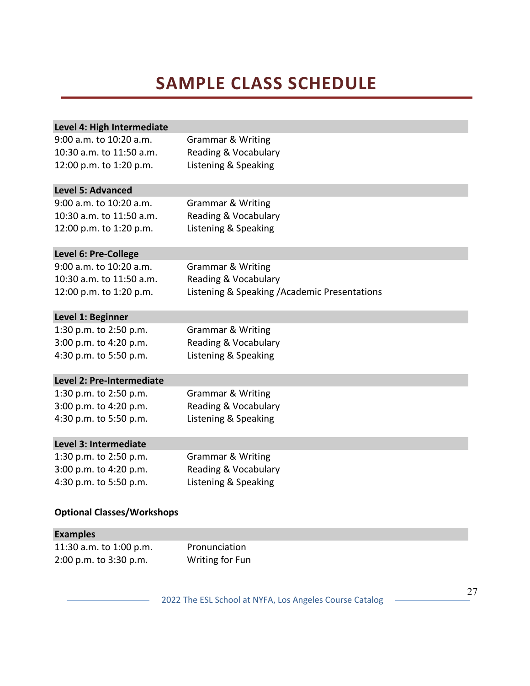## **SAMPLE CLASS SCHEDULE**

| 9:00 a.m. to 10:20 a.m.<br><b>Grammar &amp; Writing</b><br>10:30 a.m. to 11:50 a.m.<br>Reading & Vocabulary<br>12:00 p.m. to 1:20 p.m.<br>Listening & Speaking<br><b>Level 5: Advanced</b><br>9:00 a.m. to 10:20 a.m.<br><b>Grammar &amp; Writing</b><br>10:30 a.m. to 11:50 a.m.<br>Reading & Vocabulary<br>12:00 p.m. to 1:20 p.m.<br>Listening & Speaking<br>Level 6: Pre-College<br>9:00 a.m. to 10:20 a.m.<br><b>Grammar &amp; Writing</b><br>10:30 a.m. to 11:50 a.m.<br>Reading & Vocabulary |
|-----------------------------------------------------------------------------------------------------------------------------------------------------------------------------------------------------------------------------------------------------------------------------------------------------------------------------------------------------------------------------------------------------------------------------------------------------------------------------------------------------|
|                                                                                                                                                                                                                                                                                                                                                                                                                                                                                                     |
|                                                                                                                                                                                                                                                                                                                                                                                                                                                                                                     |
|                                                                                                                                                                                                                                                                                                                                                                                                                                                                                                     |
|                                                                                                                                                                                                                                                                                                                                                                                                                                                                                                     |
|                                                                                                                                                                                                                                                                                                                                                                                                                                                                                                     |
|                                                                                                                                                                                                                                                                                                                                                                                                                                                                                                     |
|                                                                                                                                                                                                                                                                                                                                                                                                                                                                                                     |
|                                                                                                                                                                                                                                                                                                                                                                                                                                                                                                     |
|                                                                                                                                                                                                                                                                                                                                                                                                                                                                                                     |
|                                                                                                                                                                                                                                                                                                                                                                                                                                                                                                     |
| Listening & Speaking / Academic Presentations<br>12:00 p.m. to 1:20 p.m.                                                                                                                                                                                                                                                                                                                                                                                                                            |
| Level 1: Beginner                                                                                                                                                                                                                                                                                                                                                                                                                                                                                   |
| 1:30 p.m. to 2:50 p.m.<br><b>Grammar &amp; Writing</b>                                                                                                                                                                                                                                                                                                                                                                                                                                              |
| 3:00 p.m. to 4:20 p.m.<br>Reading & Vocabulary                                                                                                                                                                                                                                                                                                                                                                                                                                                      |
| Listening & Speaking<br>4:30 p.m. to 5:50 p.m.                                                                                                                                                                                                                                                                                                                                                                                                                                                      |
| Level 2: Pre-Intermediate                                                                                                                                                                                                                                                                                                                                                                                                                                                                           |
| 1:30 p.m. to 2:50 p.m.<br><b>Grammar &amp; Writing</b>                                                                                                                                                                                                                                                                                                                                                                                                                                              |
| 3:00 p.m. to 4:20 p.m.<br>Reading & Vocabulary                                                                                                                                                                                                                                                                                                                                                                                                                                                      |
| 4:30 p.m. to 5:50 p.m.<br>Listening & Speaking                                                                                                                                                                                                                                                                                                                                                                                                                                                      |
| Level 3: Intermediate                                                                                                                                                                                                                                                                                                                                                                                                                                                                               |
| 1:30 p.m. to 2:50 p.m.<br><b>Grammar &amp; Writing</b>                                                                                                                                                                                                                                                                                                                                                                                                                                              |
| 3:00 p.m. to 4:20 p.m.<br>Reading & Vocabulary                                                                                                                                                                                                                                                                                                                                                                                                                                                      |
| 4:30 p.m. to 5:50 p.m.<br>Listening & Speaking                                                                                                                                                                                                                                                                                                                                                                                                                                                      |
| <b>Optional Classes/Workshops</b>                                                                                                                                                                                                                                                                                                                                                                                                                                                                   |

| <b>Examples</b>         |                 |
|-------------------------|-----------------|
| 11:30 a.m. to 1:00 p.m. | Pronunciation   |
| 2:00 p.m. to 3:30 p.m.  | Writing for Fun |

2022 The ESL School at NYFA, Los Angeles Course Catalog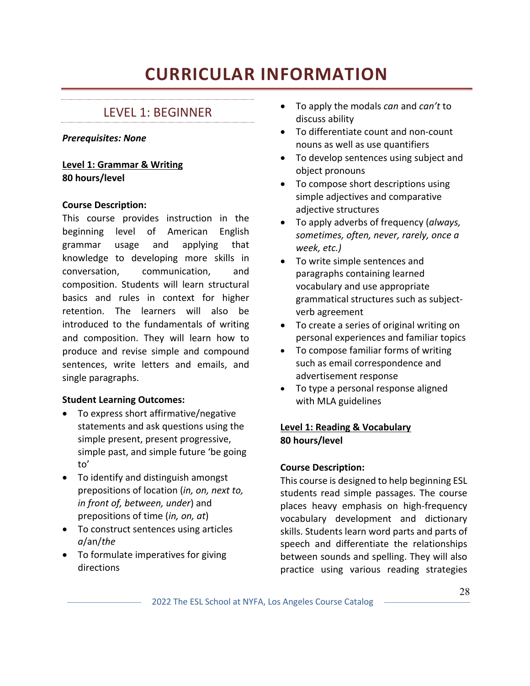## **CURRICULAR INFORMATION**

## LEVEL 1: BEGINNER

### *Prerequisites: None*

**Level 1: Grammar & Writing 80 hours/level**

#### **Course Description:**

This course provides instruction in the beginning level of American English grammar usage and applying that knowledge to developing more skills in conversation, communication, and composition. Students will learn structural basics and rules in context for higher retention. The learners will also be introduced to the fundamentals of writing and composition. They will learn how to produce and revise simple and compound sentences, write letters and emails, and single paragraphs.

### **Student Learning Outcomes:**

- To express short affirmative/negative statements and ask questions using the simple present, present progressive, simple past, and simple future 'be going to'
- To identify and distinguish amongst prepositions of location (*in, on, next to, in front of, between, under*) and prepositions of time (*in, on, at*)
- To construct sentences using articles *a*/an/*the*
- To formulate imperatives for giving directions
- To apply the modals *can* and *can't* to discuss ability
- To differentiate count and non-count nouns as well as use quantifiers
- To develop sentences using subject and object pronouns
- To compose short descriptions using simple adjectives and comparative adjective structures
- To apply adverbs of frequency (*always, sometimes, often, never, rarely, once a week, etc.)*
- To write simple sentences and paragraphs containing learned vocabulary and use appropriate grammatical structures such as subjectverb agreement
- To create a series of original writing on personal experiences and familiar topics
- To compose familiar forms of writing such as email correspondence and advertisement response
- To type a personal response aligned with MLA guidelines

### **Level 1: Reading & Vocabulary 80 hours/level**

### **Course Description:**

This course is designed to help beginning ESL students read simple passages. The course places heavy emphasis on high-frequency vocabulary development and dictionary skills. Students learn word parts and parts of speech and differentiate the relationships between sounds and spelling. They will also practice using various reading strategies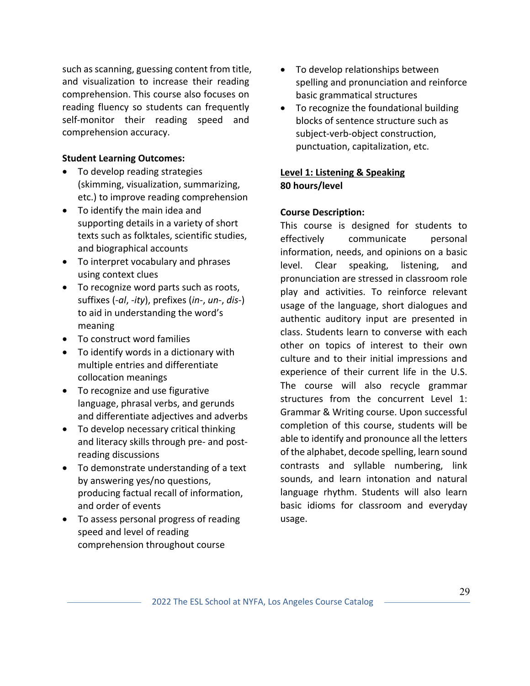such as scanning, guessing content from title, and visualization to increase their reading comprehension. This course also focuses on reading fluency so students can frequently self-monitor their reading speed and comprehension accuracy.

### **Student Learning Outcomes:**

- To develop reading strategies (skimming, visualization, summarizing, etc.) to improve reading comprehension
- To identify the main idea and supporting details in a variety of short texts such as folktales, scientific studies, and biographical accounts
- To interpret vocabulary and phrases using context clues
- To recognize word parts such as roots, suffixes (*-al*, *-ity*), prefixes (*in-*, *un-*, *dis-*) to aid in understanding the word's meaning
- To construct word families
- To identify words in a dictionary with multiple entries and differentiate collocation meanings
- To recognize and use figurative language, phrasal verbs, and gerunds and differentiate adjectives and adverbs
- To develop necessary critical thinking and literacy skills through pre- and postreading discussions
- To demonstrate understanding of a text by answering yes/no questions, producing factual recall of information, and order of events
- To assess personal progress of reading speed and level of reading comprehension throughout course
- To develop relationships between spelling and pronunciation and reinforce basic grammatical structures
- To recognize the foundational building blocks of sentence structure such as subject-verb-object construction, punctuation, capitalization, etc.

### **Level 1: Listening & Speaking 80 hours/level**

### **Course Description:**

This course is designed for students to effectively communicate personal information, needs, and opinions on a basic level. Clear speaking, listening, and pronunciation are stressed in classroom role play and activities. To reinforce relevant usage of the language, short dialogues and authentic auditory input are presented in class. Students learn to converse with each other on topics of interest to their own culture and to their initial impressions and experience of their current life in the U.S. The course will also recycle grammar structures from the concurrent Level 1: Grammar & Writing course. Upon successful completion of this course, students will be able to identify and pronounce all the letters of the alphabet, decode spelling, learn sound contrasts and syllable numbering, link sounds, and learn intonation and natural language rhythm. Students will also learn basic idioms for classroom and everyday usage.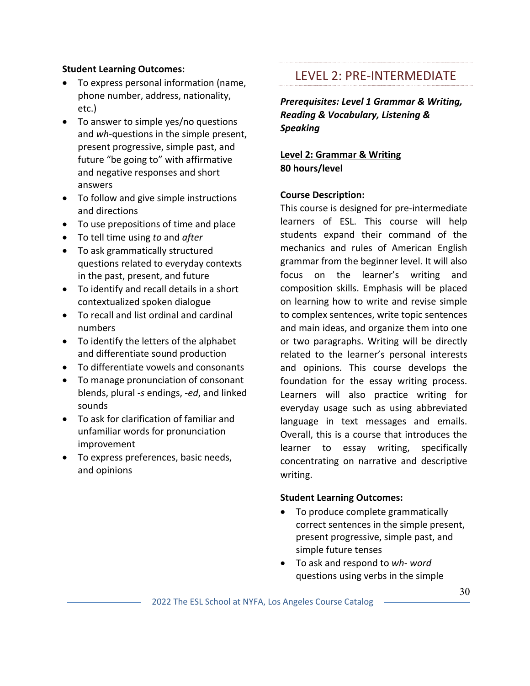### **Student Learning Outcomes:**

- To express personal information (name, phone number, address, nationality, etc.)
- To answer to simple yes/no questions and *wh*-questions in the simple present, present progressive, simple past, and future "be going to" with affirmative and negative responses and short answers
- To follow and give simple instructions and directions
- To use prepositions of time and place
- To tell time using *to* and *after*
- To ask grammatically structured questions related to everyday contexts in the past, present, and future
- To identify and recall details in a short contextualized spoken dialogue
- To recall and list ordinal and cardinal numbers
- To identify the letters of the alphabet and differentiate sound production
- To differentiate vowels and consonants
- To manage pronunciation of consonant blends, plural *-s* endings, *-ed*, and linked sounds
- To ask for clarification of familiar and unfamiliar words for pronunciation improvement
- To express preferences, basic needs, and opinions

### LEVEL 2: PRE-INTERMEDIATE

*Prerequisites: Level 1 Grammar & Writing, Reading & Vocabulary, Listening & Speaking* 

**Level 2: Grammar & Writing 80 hours/level**

### **Course Description:**

This course is designed for pre-intermediate learners of ESL. This course will help students expand their command of the mechanics and rules of American English grammar from the beginner level. It will also focus on the learner's writing and composition skills. Emphasis will be placed on learning how to write and revise simple to complex sentences, write topic sentences and main ideas, and organize them into one or two paragraphs. Writing will be directly related to the learner's personal interests and opinions. This course develops the foundation for the essay writing process. Learners will also practice writing for everyday usage such as using abbreviated language in text messages and emails. Overall, this is a course that introduces the learner to essay writing, specifically concentrating on narrative and descriptive writing.

- To produce complete grammatically correct sentences in the simple present, present progressive, simple past, and simple future tenses
- To ask and respond to *wh- word* questions using verbs in the simple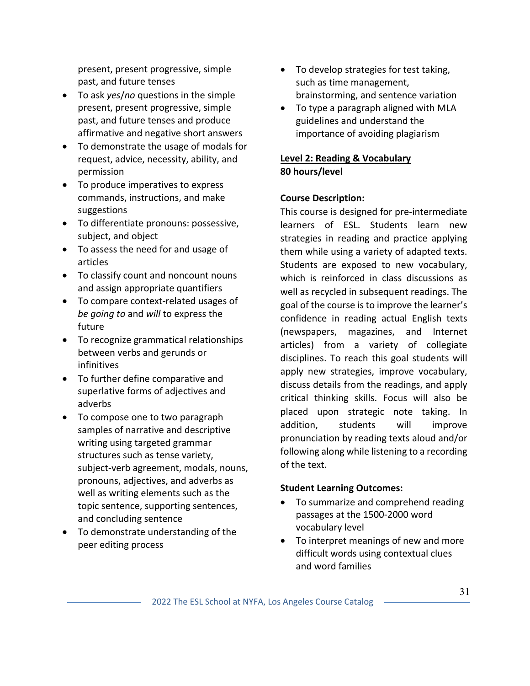present, present progressive, simple past, and future tenses

- To ask *yes*/*no* questions in the simple present, present progressive, simple past, and future tenses and produce affirmative and negative short answers
- To demonstrate the usage of modals for request, advice, necessity, ability, and permission
- To produce imperatives to express commands, instructions, and make suggestions
- To differentiate pronouns: possessive, subject, and object
- To assess the need for and usage of articles
- To classify count and noncount nouns and assign appropriate quantifiers
- To compare context-related usages of *be going to* and *will* to express the future
- To recognize grammatical relationships between verbs and gerunds or infinitives
- To further define comparative and superlative forms of adjectives and adverbs
- To compose one to two paragraph samples of narrative and descriptive writing using targeted grammar structures such as tense variety, subject-verb agreement, modals, nouns, pronouns, adjectives, and adverbs as well as writing elements such as the topic sentence, supporting sentences, and concluding sentence
- To demonstrate understanding of the peer editing process
- To develop strategies for test taking, such as time management, brainstorming, and sentence variation
- To type a paragraph aligned with MLA guidelines and understand the importance of avoiding plagiarism

### **Level 2: Reading & Vocabulary 80 hours/level**

### **Course Description:**

This course is designed for pre-intermediate learners of ESL. Students learn new strategies in reading and practice applying them while using a variety of adapted texts. Students are exposed to new vocabulary, which is reinforced in class discussions as well as recycled in subsequent readings. The goal of the course is to improve the learner's confidence in reading actual English texts (newspapers, magazines, and Internet articles) from a variety of collegiate disciplines. To reach this goal students will apply new strategies, improve vocabulary, discuss details from the readings, and apply critical thinking skills. Focus will also be placed upon strategic note taking. In addition, students will improve pronunciation by reading texts aloud and/or following along while listening to a recording of the text.

- To summarize and comprehend reading passages at the 1500-2000 word vocabulary level
- To interpret meanings of new and more difficult words using contextual clues and word families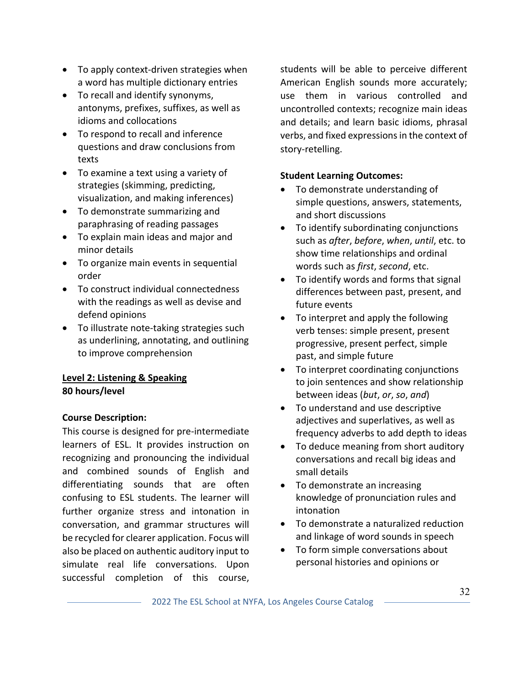- To apply context-driven strategies when a word has multiple dictionary entries
- To recall and identify synonyms, antonyms, prefixes, suffixes, as well as idioms and collocations
- To respond to recall and inference questions and draw conclusions from texts
- To examine a text using a variety of strategies (skimming, predicting, visualization, and making inferences)
- To demonstrate summarizing and paraphrasing of reading passages
- To explain main ideas and major and minor details
- To organize main events in sequential order
- To construct individual connectedness with the readings as well as devise and defend opinions
- To illustrate note-taking strategies such as underlining, annotating, and outlining to improve comprehension

### **Level 2: Listening & Speaking 80 hours/level**

### **Course Description:**

This course is designed for pre-intermediate learners of ESL. It provides instruction on recognizing and pronouncing the individual and combined sounds of English and differentiating sounds that are often confusing to ESL students. The learner will further organize stress and intonation in conversation, and grammar structures will be recycled for clearer application. Focus will also be placed on authentic auditory input to simulate real life conversations. Upon successful completion of this course,

students will be able to perceive different American English sounds more accurately; use them in various controlled and uncontrolled contexts; recognize main ideas and details; and learn basic idioms, phrasal verbs, and fixed expressions in the context of story-retelling.

- To demonstrate understanding of simple questions, answers, statements, and short discussions
- To identify subordinating conjunctions such as *after*, *before*, *when*, *until*, etc. to show time relationships and ordinal words such as *first*, *second*, etc.
- To identify words and forms that signal differences between past, present, and future events
- To interpret and apply the following verb tenses: simple present, present progressive, present perfect, simple past, and simple future
- To interpret coordinating conjunctions to join sentences and show relationship between ideas (*but*, *or*, *so*, *and*)
- To understand and use descriptive adjectives and superlatives, as well as frequency adverbs to add depth to ideas
- To deduce meaning from short auditory conversations and recall big ideas and small details
- To demonstrate an increasing knowledge of pronunciation rules and intonation
- To demonstrate a naturalized reduction and linkage of word sounds in speech
- To form simple conversations about personal histories and opinions or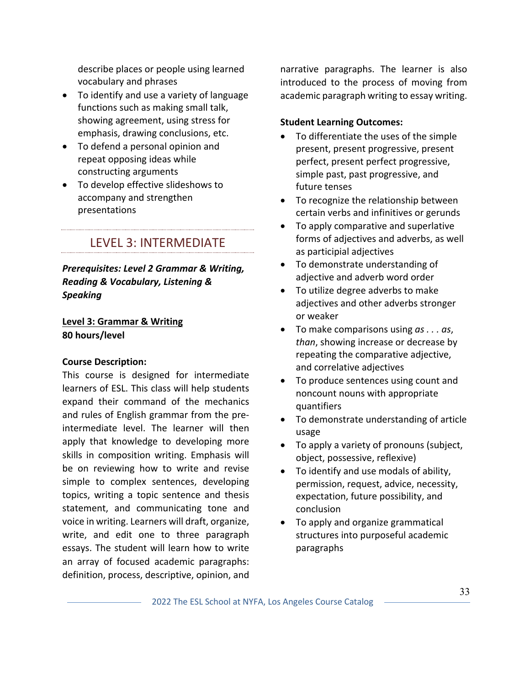describe places or people using learned vocabulary and phrases

- To identify and use a variety of language functions such as making small talk, showing agreement, using stress for emphasis, drawing conclusions, etc.
- To defend a personal opinion and repeat opposing ideas while constructing arguments
- To develop effective slideshows to accompany and strengthen presentations

LEVEL 3: INTERMEDIATE

*Prerequisites: Level 2 Grammar & Writing, Reading & Vocabulary, Listening & Speaking*

### **Level 3: Grammar & Writing 80 hours/level**

### **Course Description:**

This course is designed for intermediate learners of ESL. This class will help students expand their command of the mechanics and rules of English grammar from the preintermediate level. The learner will then apply that knowledge to developing more skills in composition writing. Emphasis will be on reviewing how to write and revise simple to complex sentences, developing topics, writing a topic sentence and thesis statement, and communicating tone and voice in writing. Learners will draft, organize, write, and edit one to three paragraph essays. The student will learn how to write an array of focused academic paragraphs: definition, process, descriptive, opinion, and

narrative paragraphs. The learner is also introduced to the process of moving from academic paragraph writing to essay writing.

- To differentiate the uses of the simple present, present progressive, present perfect, present perfect progressive, simple past, past progressive, and future tenses
- To recognize the relationship between certain verbs and infinitives or gerunds
- To apply comparative and superlative forms of adjectives and adverbs, as well as participial adjectives
- To demonstrate understanding of adjective and adverb word order
- To utilize degree adverbs to make adjectives and other adverbs stronger or weaker
- To make comparisons using *as . . . as*, *than*, showing increase or decrease by repeating the comparative adjective, and correlative adjectives
- To produce sentences using count and noncount nouns with appropriate quantifiers
- To demonstrate understanding of article usage
- To apply a variety of pronouns (subject, object, possessive, reflexive)
- To identify and use modals of ability, permission, request, advice, necessity, expectation, future possibility, and conclusion
- To apply and organize grammatical structures into purposeful academic paragraphs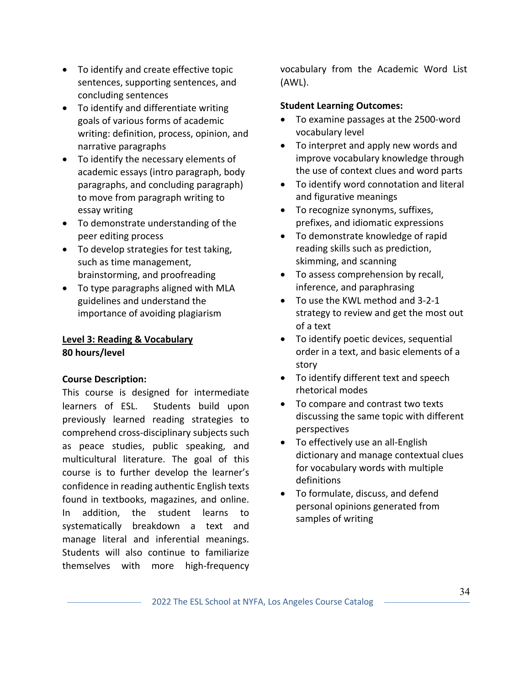- To identify and create effective topic sentences, supporting sentences, and concluding sentences
- To identify and differentiate writing goals of various forms of academic writing: definition, process, opinion, and narrative paragraphs
- To identify the necessary elements of academic essays (intro paragraph, body paragraphs, and concluding paragraph) to move from paragraph writing to essay writing
- To demonstrate understanding of the peer editing process
- To develop strategies for test taking, such as time management, brainstorming, and proofreading
- To type paragraphs aligned with MLA guidelines and understand the importance of avoiding plagiarism

### **Level 3: Reading & Vocabulary 80 hours/level**

### **Course Description:**

This course is designed for intermediate learners of ESL. Students build upon previously learned reading strategies to comprehend cross-disciplinary subjects such as peace studies, public speaking, and multicultural literature. The goal of this course is to further develop the learner's confidence in reading authentic English texts found in textbooks, magazines, and online. In addition, the student learns to systematically breakdown a text and manage literal and inferential meanings. Students will also continue to familiarize themselves with more high-frequency vocabulary from the Academic Word List (AWL).

- To examine passages at the 2500-word vocabulary level
- To interpret and apply new words and improve vocabulary knowledge through the use of context clues and word parts
- To identify word connotation and literal and figurative meanings
- To recognize synonyms, suffixes, prefixes, and idiomatic expressions
- To demonstrate knowledge of rapid reading skills such as prediction, skimming, and scanning
- To assess comprehension by recall, inference, and paraphrasing
- To use the KWL method and 3-2-1 strategy to review and get the most out of a text
- To identify poetic devices, sequential order in a text, and basic elements of a story
- To identify different text and speech rhetorical modes
- To compare and contrast two texts discussing the same topic with different perspectives
- To effectively use an all-English dictionary and manage contextual clues for vocabulary words with multiple definitions
- To formulate, discuss, and defend personal opinions generated from samples of writing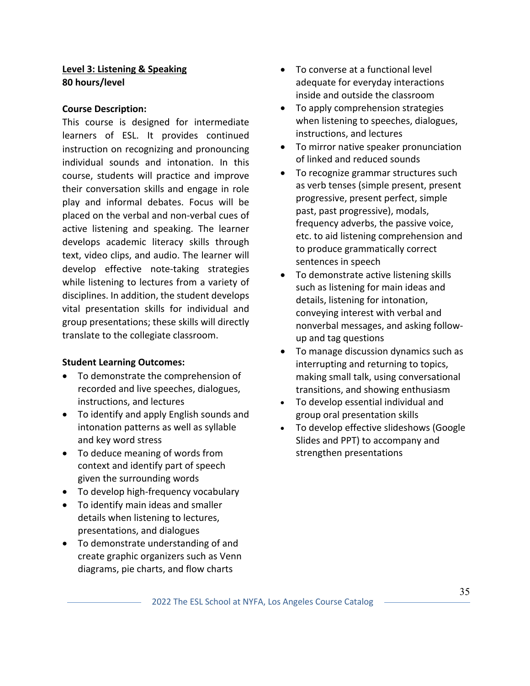### **Level 3: Listening & Speaking 80 hours/level**

#### **Course Description:**

This course is designed for intermediate learners of ESL. It provides continued instruction on recognizing and pronouncing individual sounds and intonation. In this course, students will practice and improve their conversation skills and engage in role play and informal debates. Focus will be placed on the verbal and non-verbal cues of active listening and speaking. The learner develops academic literacy skills through text, video clips, and audio. The learner will develop effective note-taking strategies while listening to lectures from a variety of disciplines. In addition, the student develops vital presentation skills for individual and group presentations; these skills will directly translate to the collegiate classroom.

- To demonstrate the comprehension of recorded and live speeches, dialogues, instructions, and lectures
- To identify and apply English sounds and intonation patterns as well as syllable and key word stress
- To deduce meaning of words from context and identify part of speech given the surrounding words
- To develop high-frequency vocabulary
- To identify main ideas and smaller details when listening to lectures, presentations, and dialogues
- To demonstrate understanding of and create graphic organizers such as Venn diagrams, pie charts, and flow charts
- To converse at a functional level adequate for everyday interactions inside and outside the classroom
- To apply comprehension strategies when listening to speeches, dialogues, instructions, and lectures
- To mirror native speaker pronunciation of linked and reduced sounds
- To recognize grammar structures such as verb tenses (simple present, present progressive, present perfect, simple past, past progressive), modals, frequency adverbs, the passive voice, etc. to aid listening comprehension and to produce grammatically correct sentences in speech
- To demonstrate active listening skills such as listening for main ideas and details, listening for intonation, conveying interest with verbal and nonverbal messages, and asking followup and tag questions
- To manage discussion dynamics such as interrupting and returning to topics, making small talk, using conversational transitions, and showing enthusiasm
- To develop essential individual and group oral presentation skills
- To develop effective slideshows (Google Slides and PPT) to accompany and strengthen presentations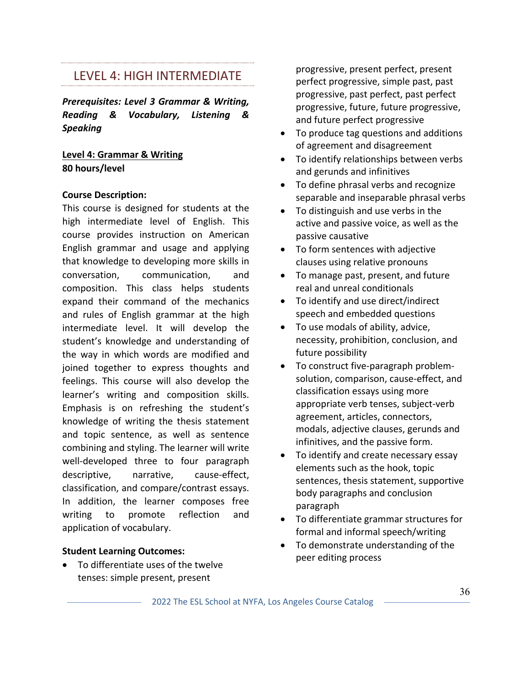### LEVEL 4: HIGH INTERMEDIATE

*Prerequisites: Level 3 Grammar & Writing, Reading & Vocabulary, Listening & Speaking*

### **Level 4: Grammar & Writing 80 hours/level**

### **Course Description:**

This course is designed for students at the high intermediate level of English. This course provides instruction on American English grammar and usage and applying that knowledge to developing more skills in conversation, communication, and composition. This class helps students expand their command of the mechanics and rules of English grammar at the high intermediate level. It will develop the student's knowledge and understanding of the way in which words are modified and joined together to express thoughts and feelings. This course will also develop the learner's writing and composition skills. Emphasis is on refreshing the student's knowledge of writing the thesis statement and topic sentence, as well as sentence combining and styling. The learner will write well-developed three to four paragraph descriptive, narrative, cause-effect, classification, and compare/contrast essays. In addition, the learner composes free writing to promote reflection and application of vocabulary.

### **Student Learning Outcomes:**

• To differentiate uses of the twelve tenses: simple present, present

progressive, present perfect, present perfect progressive, simple past, past progressive, past perfect, past perfect progressive, future, future progressive, and future perfect progressive

- To produce tag questions and additions of agreement and disagreement
- To identify relationships between verbs and gerunds and infinitives
- To define phrasal verbs and recognize separable and inseparable phrasal verbs
- To distinguish and use verbs in the active and passive voice, as well as the passive causative
- To form sentences with adjective clauses using relative pronouns
- To manage past, present, and future real and unreal conditionals
- To identify and use direct/indirect speech and embedded questions
- To use modals of ability, advice, necessity, prohibition, conclusion, and future possibility
- To construct five-paragraph problemsolution, comparison, cause-effect, and classification essays using more appropriate verb tenses, subject-verb agreement, articles, connectors, modals, adjective clauses, gerunds and infinitives, and the passive form.
- To identify and create necessary essay elements such as the hook, topic sentences, thesis statement, supportive body paragraphs and conclusion paragraph
- To differentiate grammar structures for formal and informal speech/writing
- To demonstrate understanding of the peer editing process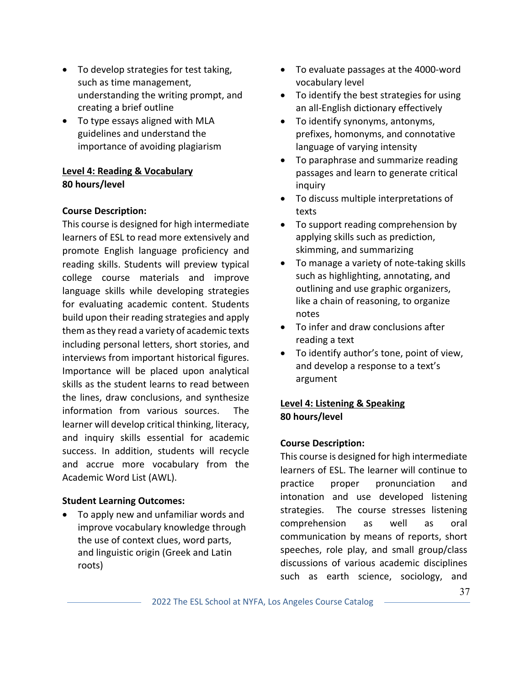- To develop strategies for test taking, such as time management, understanding the writing prompt, and creating a brief outline
- To type essays aligned with MLA guidelines and understand the importance of avoiding plagiarism

### **Level 4: Reading & Vocabulary 80 hours/level**

### **Course Description:**

This course is designed for high intermediate learners of ESL to read more extensively and promote English language proficiency and reading skills. Students will preview typical college course materials and improve language skills while developing strategies for evaluating academic content. Students build upon their reading strategies and apply them as they read a variety of academic texts including personal letters, short stories, and interviews from important historical figures. Importance will be placed upon analytical skills as the student learns to read between the lines, draw conclusions, and synthesize information from various sources. The learner will develop critical thinking, literacy, and inquiry skills essential for academic success. In addition, students will recycle and accrue more vocabulary from the Academic Word List (AWL).

### **Student Learning Outcomes:**

• To apply new and unfamiliar words and improve vocabulary knowledge through the use of context clues, word parts, and linguistic origin (Greek and Latin roots)

- To evaluate passages at the 4000-word vocabulary level
- To identify the best strategies for using an all-English dictionary effectively
- To identify synonyms, antonyms, prefixes, homonyms, and connotative language of varying intensity
- To paraphrase and summarize reading passages and learn to generate critical inquiry
- To discuss multiple interpretations of texts
- To support reading comprehension by applying skills such as prediction, skimming, and summarizing
- To manage a variety of note-taking skills such as highlighting, annotating, and outlining and use graphic organizers, like a chain of reasoning, to organize notes
- To infer and draw conclusions after reading a text
- To identify author's tone, point of view, and develop a response to a text's argument

### **Level 4: Listening & Speaking 80 hours/level**

### **Course Description:**

This course is designed for high intermediate learners of ESL. The learner will continue to practice proper pronunciation and intonation and use developed listening strategies. The course stresses listening comprehension as well as oral communication by means of reports, short speeches, role play, and small group/class discussions of various academic disciplines such as earth science, sociology, and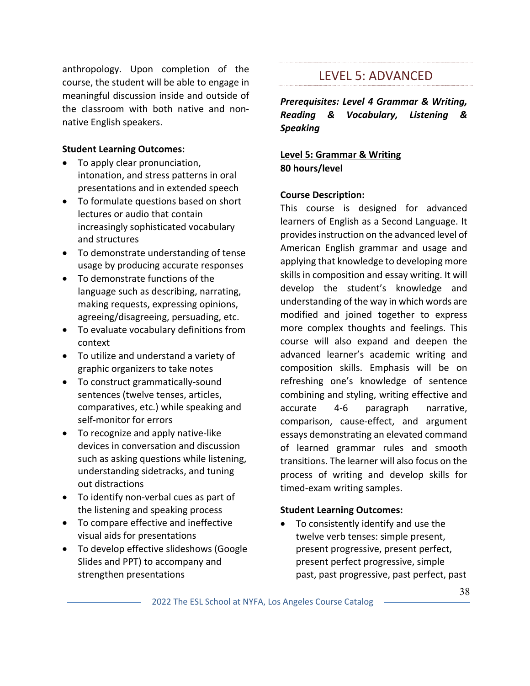anthropology. Upon completion of the course, the student will be able to engage in meaningful discussion inside and outside of the classroom with both native and nonnative English speakers.

#### **Student Learning Outcomes:**

- To apply clear pronunciation, intonation, and stress patterns in oral presentations and in extended speech
- To formulate questions based on short lectures or audio that contain increasingly sophisticated vocabulary and structures
- To demonstrate understanding of tense usage by producing accurate responses
- To demonstrate functions of the language such as describing, narrating, making requests, expressing opinions, agreeing/disagreeing, persuading, etc.
- To evaluate vocabulary definitions from context
- To utilize and understand a variety of graphic organizers to take notes
- To construct grammatically-sound sentences (twelve tenses, articles, comparatives, etc.) while speaking and self-monitor for errors
- To recognize and apply native-like devices in conversation and discussion such as asking questions while listening, understanding sidetracks, and tuning out distractions
- To identify non-verbal cues as part of the listening and speaking process
- To compare effective and ineffective visual aids for presentations
- To develop effective slideshows (Google Slides and PPT) to accompany and strengthen presentations

### LEVEL 5: ADVANCED

*Prerequisites: Level 4 Grammar & Writing, Reading & Vocabulary, Listening & Speaking*

**Level 5: Grammar & Writing 80 hours/level**

### **Course Description:**

This course is designed for advanced learners of English as a Second Language. It provides instruction on the advanced level of American English grammar and usage and applying that knowledge to developing more skills in composition and essay writing. It will develop the student's knowledge and understanding of the way in which words are modified and joined together to express more complex thoughts and feelings. This course will also expand and deepen the advanced learner's academic writing and composition skills. Emphasis will be on refreshing one's knowledge of sentence combining and styling, writing effective and accurate 4-6 paragraph narrative, comparison, cause-effect, and argument essays demonstrating an elevated command of learned grammar rules and smooth transitions. The learner will also focus on the process of writing and develop skills for timed-exam writing samples.

### **Student Learning Outcomes:**

To consistently identify and use the twelve verb tenses: simple present, present progressive, present perfect, present perfect progressive, simple past, past progressive, past perfect, past

2022 The ESL School at NYFA, Los Angeles Course Catalog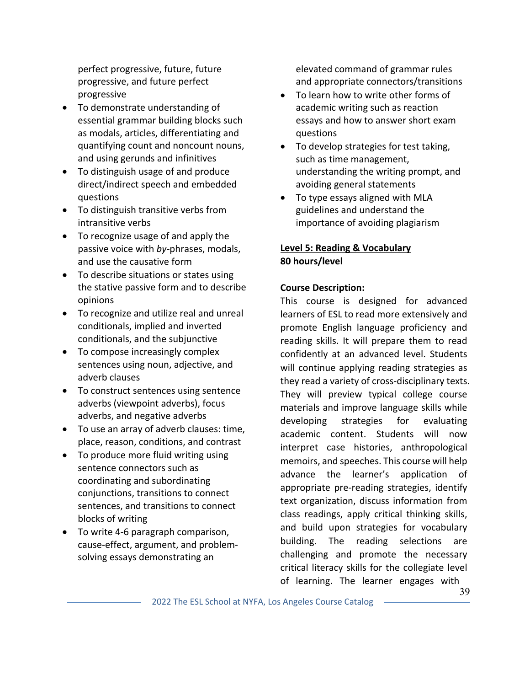perfect progressive, future, future progressive, and future perfect progressive

- To demonstrate understanding of essential grammar building blocks such as modals, articles, differentiating and quantifying count and noncount nouns, and using gerunds and infinitives
- To distinguish usage of and produce direct/indirect speech and embedded questions
- To distinguish transitive verbs from intransitive verbs
- To recognize usage of and apply the passive voice with *by*-phrases, modals, and use the causative form
- To describe situations or states using the stative passive form and to describe opinions
- To recognize and utilize real and unreal conditionals, implied and inverted conditionals, and the subjunctive
- To compose increasingly complex sentences using noun, adjective, and adverb clauses
- To construct sentences using sentence adverbs (viewpoint adverbs), focus adverbs, and negative adverbs
- To use an array of adverb clauses: time, place, reason, conditions, and contrast
- To produce more fluid writing using sentence connectors such as coordinating and subordinating conjunctions, transitions to connect sentences, and transitions to connect blocks of writing
- To write 4-6 paragraph comparison, cause-effect, argument, and problemsolving essays demonstrating an

elevated command of grammar rules and appropriate connectors/transitions

- To learn how to write other forms of academic writing such as reaction essays and how to answer short exam questions
- To develop strategies for test taking, such as time management, understanding the writing prompt, and avoiding general statements
- To type essays aligned with MLA guidelines and understand the importance of avoiding plagiarism

### **Level 5: Reading & Vocabulary 80 hours/level**

### **Course Description:**

This course is designed for advanced learners of ESL to read more extensively and promote English language proficiency and reading skills. It will prepare them to read confidently at an advanced level. Students will continue applying reading strategies as they read a variety of cross-disciplinary texts. They will preview typical college course materials and improve language skills while developing strategies for evaluating academic content. Students will now interpret case histories, anthropological memoirs, and speeches. This course will help advance the learner's application of appropriate pre-reading strategies, identify text organization, discuss information from class readings, apply critical thinking skills, and build upon strategies for vocabulary building. The reading selections are challenging and promote the necessary critical literacy skills for the collegiate level of learning. The learner engages with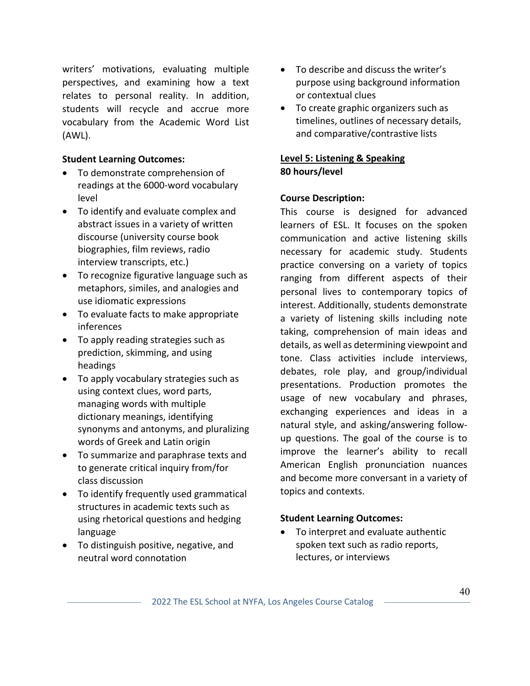writers' motivations, evaluating multiple perspectives, and examining how a text relates to personal reality. In addition, students will recycle and accrue more vocabulary from the Academic Word List (AWL).

### **Student Learning Outcomes:**

- To demonstrate comprehension of readings at the 6000-word vocabulary level
- To identify and evaluate complex and abstract issues in a variety of written discourse (university course book biographies, film reviews, radio interview transcripts, etc.)
- To recognize figurative language such as metaphors, similes, and analogies and use idiomatic expressions
- To evaluate facts to make appropriate inferences
- To apply reading strategies such as prediction, skimming, and using headings
- To apply vocabulary strategies such as using context clues, word parts, managing words with multiple dictionary meanings, identifying synonyms and antonyms, and pluralizing words of Greek and Latin origin
- To summarize and paraphrase texts and to generate critical inquiry from/for class discussion
- To identify frequently used grammatical structures in academic texts such as using rhetorical questions and hedging language
- To distinguish positive, negative, and neutral word connotation
- To describe and discuss the writer's purpose using background information or contextual clues
- To create graphic organizers such as timelines, outlines of necessary details, and comparative/contrastive lists

### **Level 5: Listening & Speaking 80 hours/level**

### **Course Description:**

This course is designed for advanced learners of ESL. It focuses on the spoken communication and active listening skills necessary for academic study. Students practice conversing on a variety of topics ranging from different aspects of their personal lives to contemporary topics of interest. Additionally, students demonstrate a variety of listening skills including note taking, comprehension of main ideas and details, as well as determining viewpoint and tone. Class activities include interviews, debates, role play, and group/individual presentations. Production promotes the usage of new vocabulary and phrases, exchanging experiences and ideas in a natural style, and asking/answering followup questions. The goal of the course is to improve the learner's ability to recall American English pronunciation nuances and become more conversant in a variety of topics and contexts.

### **Student Learning Outcomes:**

• To interpret and evaluate authentic spoken text such as radio reports, lectures, or interviews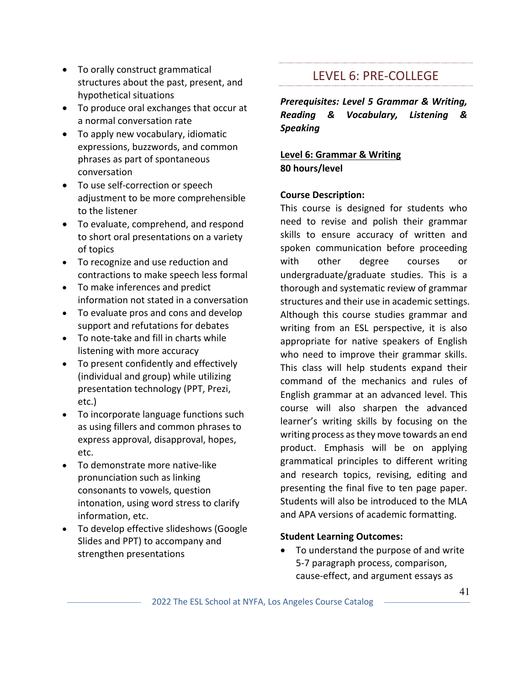- To orally construct grammatical structures about the past, present, and hypothetical situations
- To produce oral exchanges that occur at a normal conversation rate
- To apply new vocabulary, idiomatic expressions, buzzwords, and common phrases as part of spontaneous conversation
- To use self-correction or speech adjustment to be more comprehensible to the listener
- To evaluate, comprehend, and respond to short oral presentations on a variety of topics
- To recognize and use reduction and contractions to make speech less formal
- To make inferences and predict information not stated in a conversation
- To evaluate pros and cons and develop support and refutations for debates
- To note-take and fill in charts while listening with more accuracy
- To present confidently and effectively (individual and group) while utilizing presentation technology (PPT, Prezi, etc.)
- To incorporate language functions such as using fillers and common phrases to express approval, disapproval, hopes, etc.
- To demonstrate more native-like pronunciation such as linking consonants to vowels, question intonation, using word stress to clarify information, etc.
- To develop effective slideshows (Google Slides and PPT) to accompany and strengthen presentations

### LEVEL 6: PRE-COLLEGE

*Prerequisites: Level 5 Grammar & Writing, Reading & Vocabulary, Listening & Speaking*

**Level 6: Grammar & Writing 80 hours/level**

### **Course Description:**

This course is designed for students who need to revise and polish their grammar skills to ensure accuracy of written and spoken communication before proceeding with other degree courses or undergraduate/graduate studies. This is a thorough and systematic review of grammar structures and their use in academic settings. Although this course studies grammar and writing from an ESL perspective, it is also appropriate for native speakers of English who need to improve their grammar skills. This class will help students expand their command of the mechanics and rules of English grammar at an advanced level. This course will also sharpen the advanced learner's writing skills by focusing on the writing process as they move towards an end product. Emphasis will be on applying grammatical principles to different writing and research topics, revising, editing and presenting the final five to ten page paper. Students will also be introduced to the MLA and APA versions of academic formatting.

### **Student Learning Outcomes:**

• To understand the purpose of and write 5-7 paragraph process, comparison, cause-effect, and argument essays as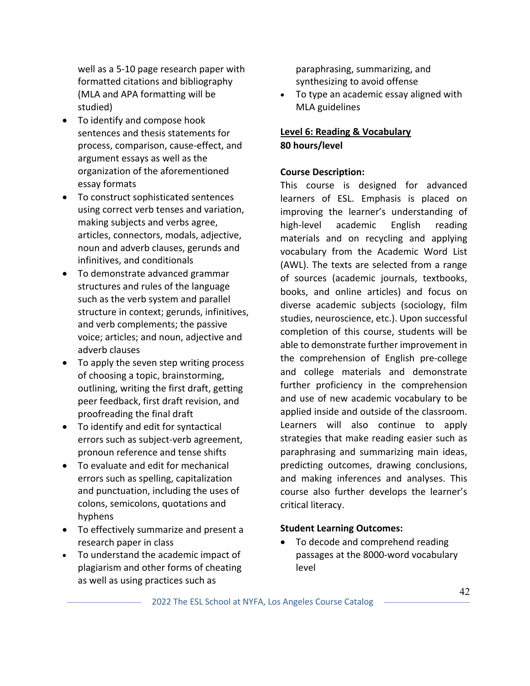well as a 5-10 page research paper with formatted citations and bibliography (MLA and APA formatting will be studied)

- To identify and compose hook sentences and thesis statements for process, comparison, cause-effect, and argument essays as well as the organization of the aforementioned essay formats
- To construct sophisticated sentences using correct verb tenses and variation, making subjects and verbs agree, articles, connectors, modals, adjective, noun and adverb clauses, gerunds and infinitives, and conditionals
- To demonstrate advanced grammar structures and rules of the language such as the verb system and parallel structure in context; gerunds, infinitives, and verb complements; the passive voice; articles; and noun, adjective and adverb clauses
- To apply the seven step writing process of choosing a topic, brainstorming, outlining, writing the first draft, getting peer feedback, first draft revision, and proofreading the final draft
- To identify and edit for syntactical errors such as subject-verb agreement, pronoun reference and tense shifts
- To evaluate and edit for mechanical errors such as spelling, capitalization and punctuation, including the uses of colons, semicolons, quotations and hyphens
- To effectively summarize and present a research paper in class
- To understand the academic impact of plagiarism and other forms of cheating as well as using practices such as

paraphrasing, summarizing, and synthesizing to avoid offense

• To type an academic essay aligned with MLA guidelines

### **Level 6: Reading & Vocabulary 80 hours/level**

### **Course Description:**

This course is designed for advanced learners of ESL. Emphasis is placed on improving the learner's understanding of high-level academic English reading materials and on recycling and applying vocabulary from the Academic Word List (AWL). The texts are selected from a range of sources (academic journals, textbooks, books, and online articles) and focus on diverse academic subjects (sociology, film studies, neuroscience, etc.). Upon successful completion of this course, students will be able to demonstrate further improvement in the comprehension of English pre-college and college materials and demonstrate further proficiency in the comprehension and use of new academic vocabulary to be applied inside and outside of the classroom. Learners will also continue to apply strategies that make reading easier such as paraphrasing and summarizing main ideas, predicting outcomes, drawing conclusions, and making inferences and analyses. This course also further develops the learner's critical literacy.

### **Student Learning Outcomes:**

• To decode and comprehend reading passages at the 8000-word vocabulary level

2022 The ESL School at NYFA, Los Angeles Course Catalog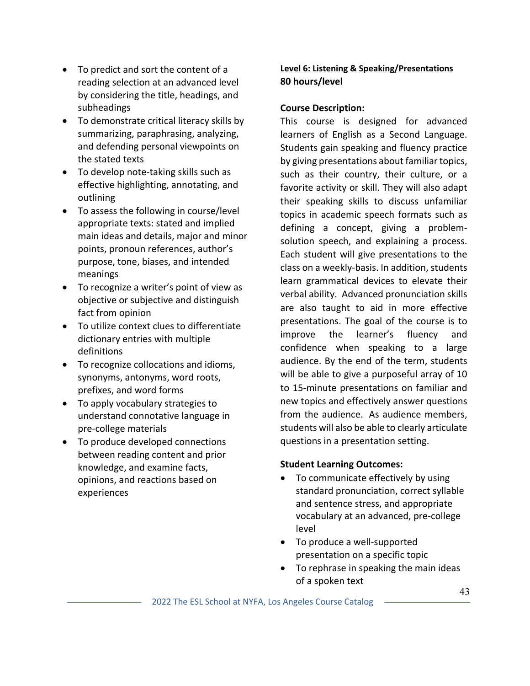- To predict and sort the content of a reading selection at an advanced level by considering the title, headings, and subheadings
- To demonstrate critical literacy skills by summarizing, paraphrasing, analyzing, and defending personal viewpoints on the stated texts
- To develop note-taking skills such as effective highlighting, annotating, and outlining
- To assess the following in course/level appropriate texts: stated and implied main ideas and details, major and minor points, pronoun references, author's purpose, tone, biases, and intended meanings
- To recognize a writer's point of view as objective or subjective and distinguish fact from opinion
- To utilize context clues to differentiate dictionary entries with multiple definitions
- To recognize collocations and idioms, synonyms, antonyms, word roots, prefixes, and word forms
- To apply vocabulary strategies to understand connotative language in pre-college materials
- To produce developed connections between reading content and prior knowledge, and examine facts, opinions, and reactions based on experiences

### **Level 6: Listening & Speaking/Presentations 80 hours/level**

### **Course Description:**

This course is designed for advanced learners of English as a Second Language. Students gain speaking and fluency practice by giving presentations about familiar topics, such as their country, their culture, or a favorite activity or skill. They will also adapt their speaking skills to discuss unfamiliar topics in academic speech formats such as defining a concept, giving a problemsolution speech, and explaining a process. Each student will give presentations to the class on a weekly-basis. In addition, students learn grammatical devices to elevate their verbal ability. Advanced pronunciation skills are also taught to aid in more effective presentations. The goal of the course is to improve the learner's fluency and confidence when speaking to a large audience. By the end of the term, students will be able to give a purposeful array of 10 to 15-minute presentations on familiar and new topics and effectively answer questions from the audience. As audience members, students will also be able to clearly articulate questions in a presentation setting.

- To communicate effectively by using standard pronunciation, correct syllable and sentence stress, and appropriate vocabulary at an advanced, pre-college level
- To produce a well-supported presentation on a specific topic
- To rephrase in speaking the main ideas of a spoken text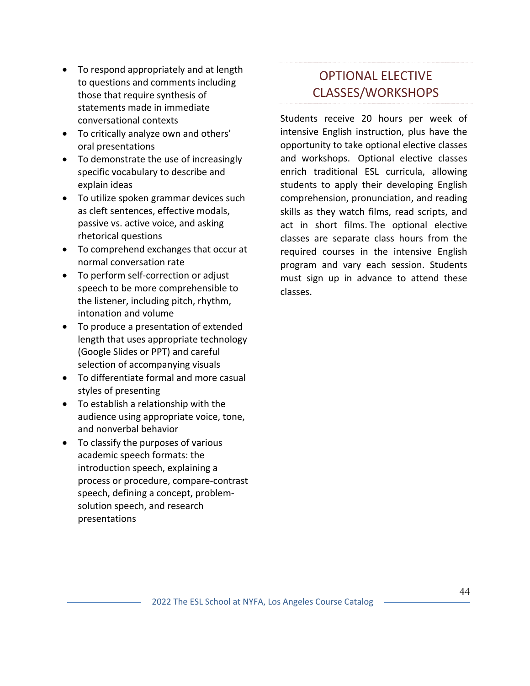- To respond appropriately and at length to questions and comments including those that require synthesis of statements made in immediate conversational contexts
- To critically analyze own and others' oral presentations
- To demonstrate the use of increasingly specific vocabulary to describe and explain ideas
- To utilize spoken grammar devices such as cleft sentences, effective modals, passive vs. active voice, and asking rhetorical questions
- To comprehend exchanges that occur at normal conversation rate
- To perform self-correction or adjust speech to be more comprehensible to the listener, including pitch, rhythm, intonation and volume
- To produce a presentation of extended length that uses appropriate technology (Google Slides or PPT) and careful selection of accompanying visuals
- To differentiate formal and more casual styles of presenting
- To establish a relationship with the audience using appropriate voice, tone, and nonverbal behavior
- To classify the purposes of various academic speech formats: the introduction speech, explaining a process or procedure, compare-contrast speech, defining a concept, problemsolution speech, and research presentations

## OPTIONAL ELECTIVE CLASSES/WORKSHOPS

Students receive 20 hours per week of intensive English instruction, plus have the opportunity to take optional elective classes and workshops. Optional elective classes enrich traditional ESL curricula, allowing students to apply their developing English comprehension, pronunciation, and reading skills as they watch films, read scripts, and act in short films. The optional elective classes are separate class hours from the required courses in the intensive English program and vary each session. Students must sign up in advance to attend these classes.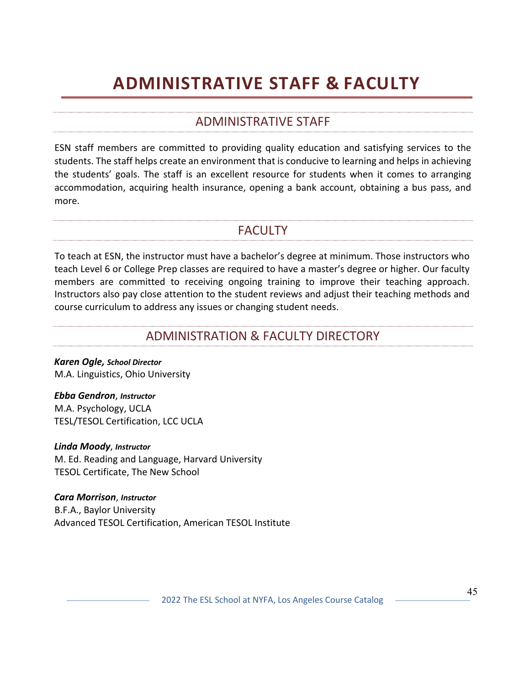## **ADMINISTRATIVE STAFF & FACULTY**

### ADMINISTRATIVE STAFF

ESN staff members are committed to providing quality education and satisfying services to the students. The staff helps create an environment that is conducive to learning and helps in achieving the students' goals. The staff is an excellent resource for students when it comes to arranging accommodation, acquiring health insurance, opening a bank account, obtaining a bus pass, and more.

### FACULTY

To teach at ESN, the instructor must have a bachelor's degree at minimum. Those instructors who teach Level 6 or College Prep classes are required to have a master's degree or higher. Our faculty members are committed to receiving ongoing training to improve their teaching approach. Instructors also pay close attention to the student reviews and adjust their teaching methods and course curriculum to address any issues or changing student needs.

### ADMINISTRATION & FACULTY DIRECTORY

*Karen Ogle, School Director* M.A. Linguistics, Ohio University

*Ebba Gendron*, *Instructor* M.A. Psychology, UCLA TESL/TESOL Certification, LCC UCLA

*Linda Moody*, *Instructor* M. Ed. Reading and Language, Harvard University TESOL Certificate, The New School

*Cara Morrison*, *Instructor* B.F.A., Baylor University Advanced TESOL Certification, American TESOL Institute